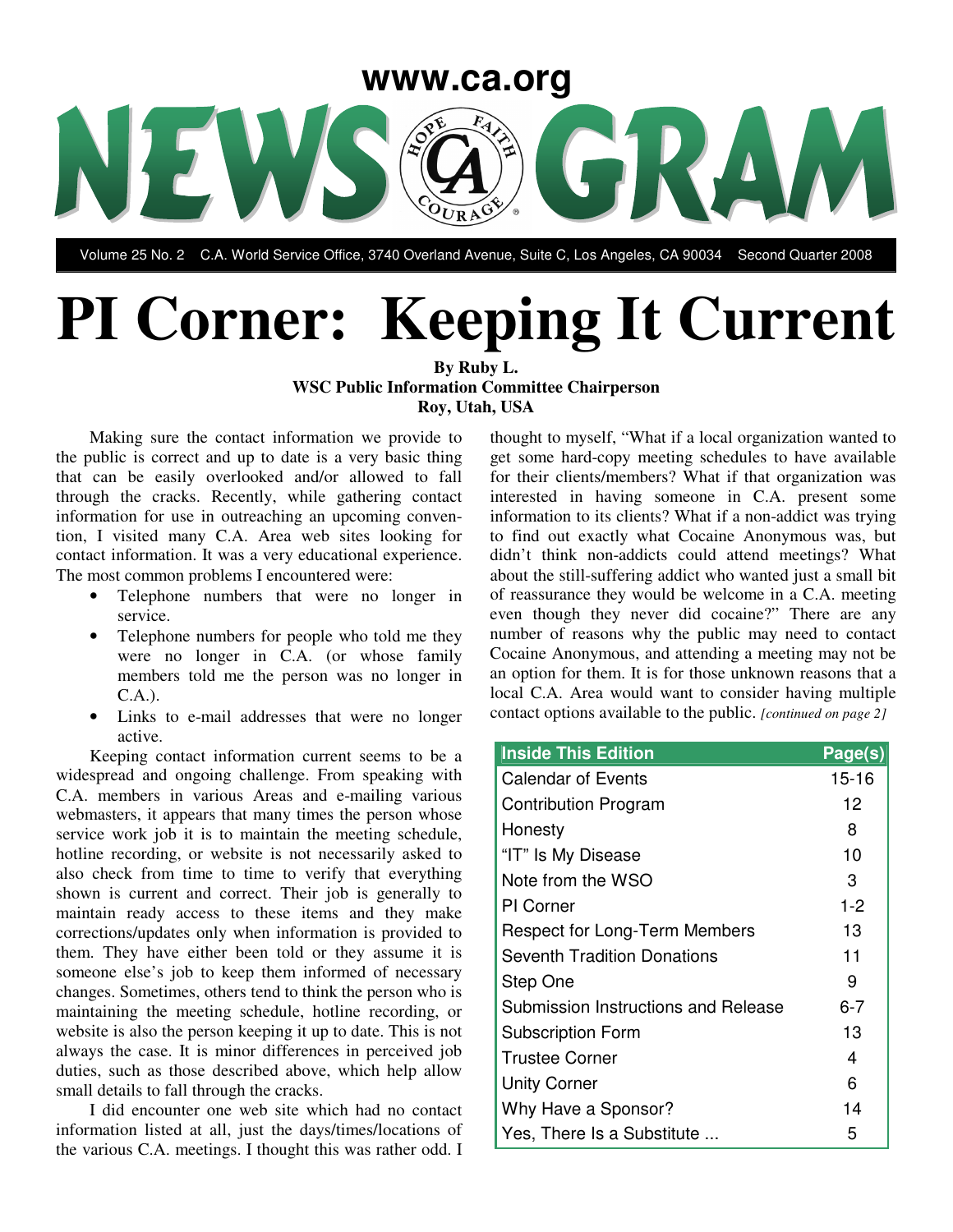

Volume 25 No. 2 C.A. World Service Office, 3740 Overland Avenue, Suite C, Los Angeles, CA 90034 Second Quarter 2008

# **PI Corner: Keeping It Current**

**By Ruby L. WSC Public Information Committee Chairperson Roy, Utah, USA**

Making sure the contact information we provide to the public is correct and up to date is a very basic thing that can be easily overlooked and/or allowed to fall through the cracks. Recently, while gathering contact information for use in outreaching an upcoming convention, I visited many C.A. Area web sites looking for contact information. It was a very educational experience. The most common problems I encountered were:

- Telephone numbers that were no longer in service.
- Telephone numbers for people who told me they were no longer in C.A. (or whose family members told me the person was no longer in C.A.).
- Links to e-mail addresses that were no longer active.

Keeping contact information current seems to be a widespread and ongoing challenge. From speaking with C.A. members in various Areas and e-mailing various webmasters, it appears that many times the person whose service work job it is to maintain the meeting schedule, hotline recording, or website is not necessarily asked to also check from time to time to verify that everything shown is current and correct. Their job is generally to maintain ready access to these items and they make corrections/updates only when information is provided to them. They have either been told or they assume it is someone else's job to keep them informed of necessary changes. Sometimes, others tend to think the person who is maintaining the meeting schedule, hotline recording, or website is also the person keeping it up to date. This is not always the case. It is minor differences in perceived job duties, such as those described above, which help allow small details to fall through the cracks.

I did encounter one web site which had no contact information listed at all, just the days/times/locations of the various C.A. meetings. I thought this was rather odd. I

thought to myself, "What if a local organization wanted to get some hard-copy meeting schedules to have available for their clients/members? What if that organization was interested in having someone in C.A. present some information to its clients? What if a non-addict was trying to find out exactly what Cocaine Anonymous was, but didn't think non-addicts could attend meetings? What about the still-suffering addict who wanted just a small bit of reassurance they would be welcome in a C.A. meeting even though they never did cocaine?" There are any number of reasons why the public may need to contact Cocaine Anonymous, and attending a meeting may not be an option for them. It is for those unknown reasons that a local C.A. Area would want to consider having multiple contact options available to the public. *[continued on page 2]*

| <b>Inside This Edition</b>           | Page(s)   |
|--------------------------------------|-----------|
| <b>Calendar of Events</b>            | $15 - 16$ |
| <b>Contribution Program</b>          | 12        |
| Honesty                              | 8         |
| "IT" Is My Disease                   | 10        |
| Note from the WSO                    | 3         |
| PI Corner                            | $1 - 2$   |
| <b>Respect for Long-Term Members</b> | 13        |
| <b>Seventh Tradition Donations</b>   | 11        |
| Step One                             | 9         |
| Submission Instructions and Release  | 6-7       |
| <b>Subscription Form</b>             | 13        |
| <b>Trustee Corner</b>                | 4         |
| <b>Unity Corner</b>                  | 6         |
| Why Have a Sponsor?                  | 14        |
| Yes, There Is a Substitute           | 5         |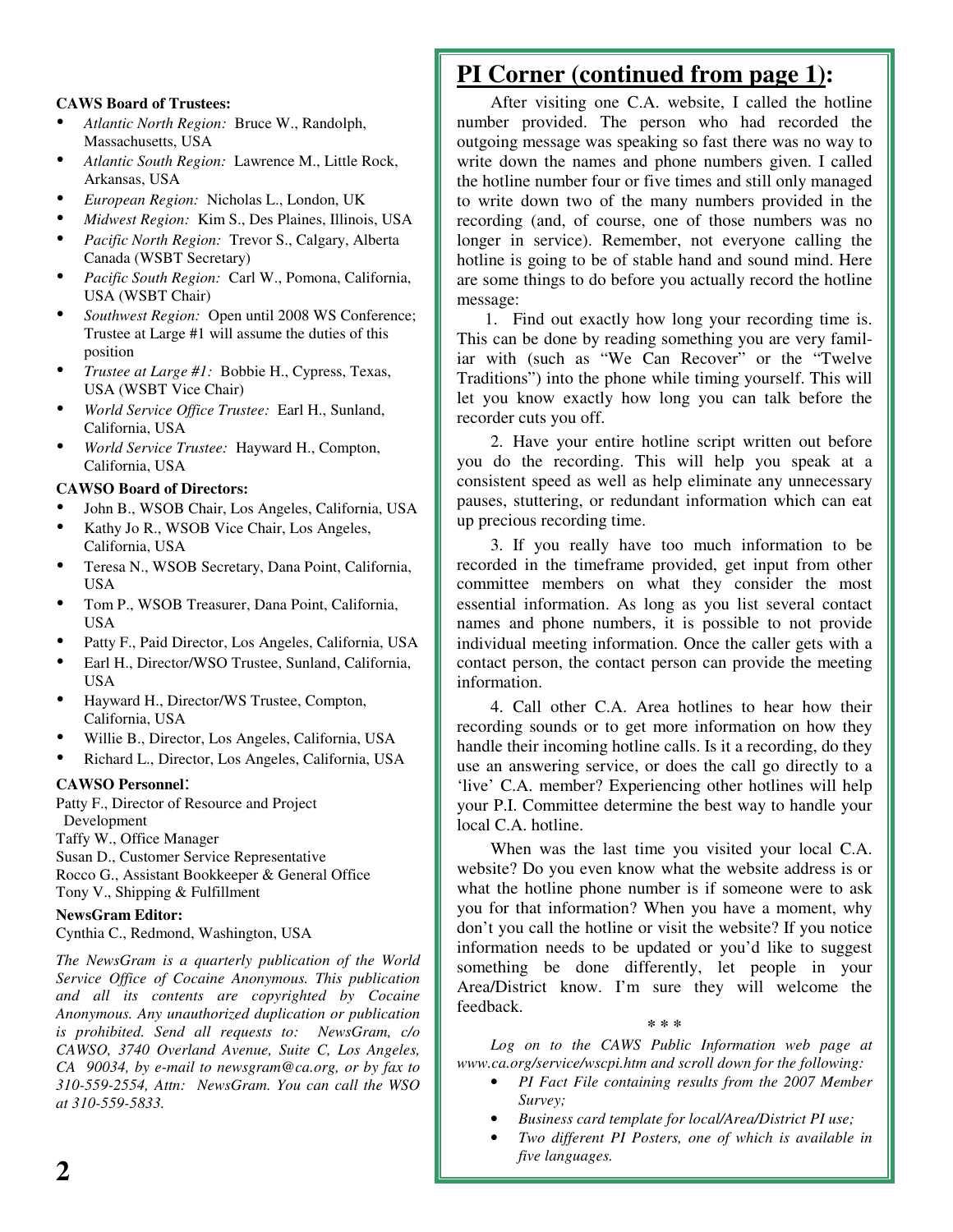## **CAWS Board of Trustees:**

- *Atlantic North Region:* Bruce W., Randolph, Massachusetts, USA
- *Atlantic South Region:* Lawrence M., Little Rock, Arkansas, USA
- *European Region:* Nicholas L., London, UK
- *Midwest Region:* Kim S., Des Plaines, Illinois, USA
- *Pacific North Region:* Trevor S., Calgary, Alberta Canada (WSBT Secretary)
- *Pacific South Region:* Carl W., Pomona, California, USA (WSBT Chair)
- *Southwest Region:* Open until <sup>2008</sup> WS Conference; Trustee at Large #1 will assume the duties of this position
- *Trustee at Large #1:* Bobbie H., Cypress, Texas, USA (WSBT Vice Chair)
- *World Service Office Trustee:* Earl H., Sunland, California, USA
- *World Service Trustee:* Hayward H., Compton, California, USA

## **CAWSO Board of Directors:**

- John B., WSOB Chair, Los Angeles, California, USA
- Kathy Jo R., WSOB Vice Chair, Los Angeles, California, USA
- Teresa N., WSOB Secretary, Dana Point, California, USA
- Tom P., WSOB Treasurer, Dana Point, California, USA
- Patty F., Paid Director, Los Angeles, California, USA
- Earl H., Director/WSO Trustee, Sunland, California, USA
- Hayward H., Director/WS Trustee, Compton, California, USA
- Willie B., Director, Los Angeles, California, USA
- Richard L., Director, Los Angeles, California, USA

### **CAWSO Personnel**:

Patty F., Director of Resource and Project Development

Taffy W., Office Manager

Susan D., Customer Service Representative Rocco G., Assistant Bookkeeper & General Office Tony V., Shipping & Fulfillment

## **NewsGram Editor:**

Cynthia C., Redmond, Washington, USA

*The NewsGram is a quarterly publication of the World Service Office of Cocaine Anonymous. This publication and all its contents are copyrighted by Cocaine Anonymous. Any unauthorized duplication or publication is prohibited. Send all requests to: NewsGram, c/o CAWSO, 3740 Overland Avenue, Suite C, Los Angeles, CA 90034, by e-mail to newsgram@ca.org, or by fax to 310-559-2554, Attn: NewsGram. You can call the WSO at 310-559-5833.*

# **PI Corner (continued from page 1):**

After visiting one C.A. website, I called the hotline number provided. The person who had recorded the outgoing message was speaking so fast there was no way to write down the names and phone numbers given. I called the hotline number four or five times and still only managed to write down two of the many numbers provided in the recording (and, of course, one of those numbers was no longer in service). Remember, not everyone calling the hotline is going to be of stable hand and sound mind. Here are some things to do before you actually record the hotline message:

1. Find out exactly how long your recording time is. This can be done by reading something you are very familiar with (such as "We Can Recover" or the "Twelve Traditions") into the phone while timing yourself. This will let you know exactly how long you can talk before the recorder cuts you off.

2. Have your entire hotline script written out before you do the recording. This will help you speak at a consistent speed as well as help eliminate any unnecessary pauses, stuttering, or redundant information which can eat up precious recording time.

3. If you really have too much information to be recorded in the timeframe provided, get input from other committee members on what they consider the most essential information. As long as you list several contact names and phone numbers, it is possible to not provide individual meeting information. Once the caller gets with a contact person, the contact person can provide the meeting information.

4. Call other C.A. Area hotlines to hear how their recording sounds or to get more information on how they handle their incoming hotline calls. Is it a recording, do they use an answering service, or does the call go directly to a 'live' C.A. member? Experiencing other hotlines will help your P.I. Committee determine the best way to handle your local C.A. hotline.

When was the last time you visited your local C.A. website? Do you even know what the website address is or what the hotline phone number is if someone were to ask you for that information? When you have a moment, why don't you call the hotline or visit the website? If you notice information needs to be updated or you'd like to suggest something be done differently, let people in your Area/District know. I'm sure they will welcome the feedback.

**\* \* \***

*Log on to the CAWS Public Information web page at www.ca.org/service/wscpi.htm and scroll down for the following:*

- *PI Fact File containing results from the 2007 Member Survey;*
- *Business card template for local/Area/District PI use;*
- *Two different PI Posters, one of which is available in five languages.*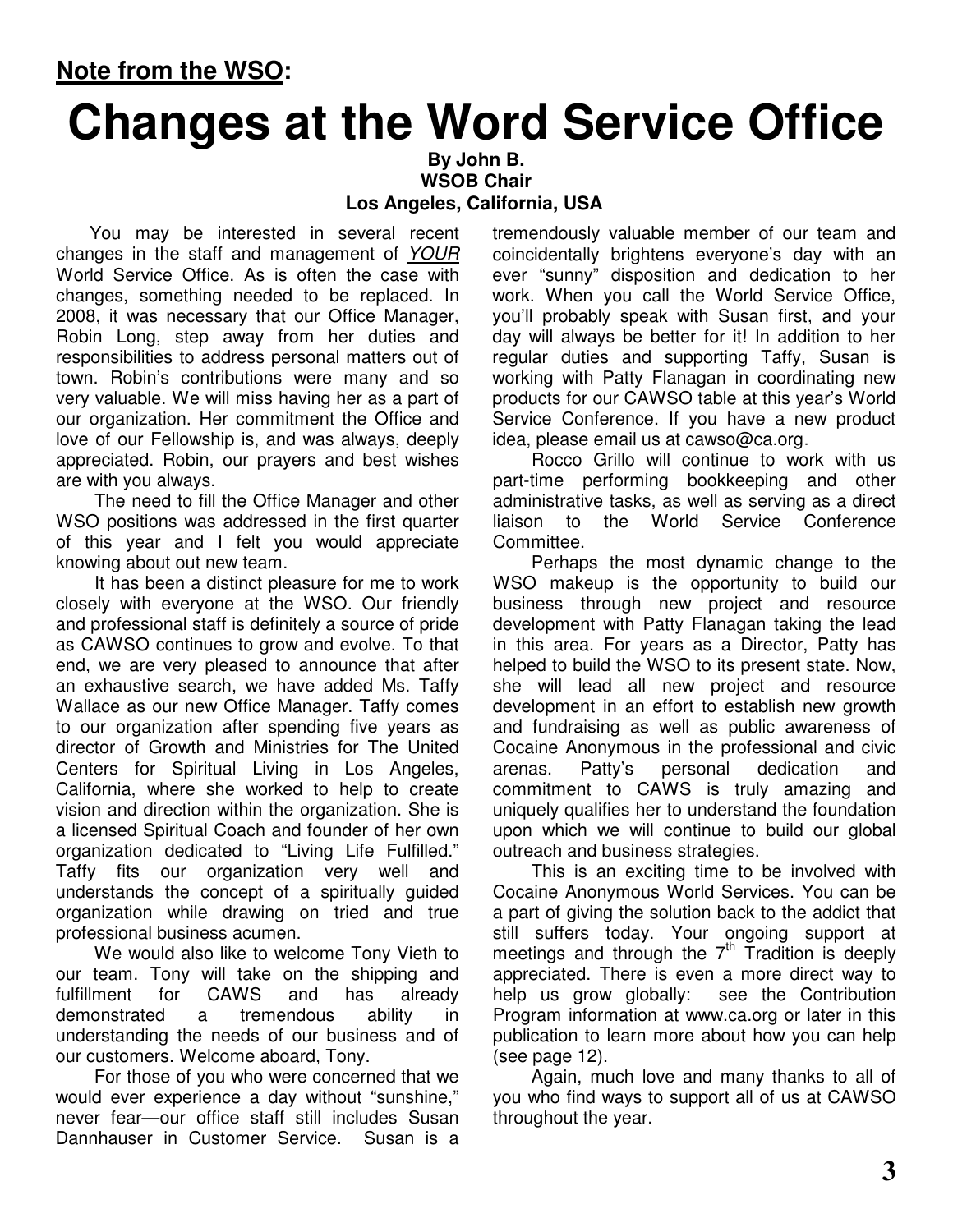# **Changes at the Word Service Office**

**By John B. WSOB Chair Los Angeles, California, USA**

You may be interested in several recent changes in the staff and management of *YOUR* World Service Office. As is often the case with changes, something needed to be replaced. In 2008, it was necessary that our Office Manager, Robin Long, step away from her duties and responsibilities to address personal matters out of town. Robin's contributions were many and so very valuable. We will miss having her as a part of our organization. Her commitment the Office and love of our Fellowship is, and was always, deeply appreciated. Robin, our prayers and best wishes are with you always.

The need to fill the Office Manager and other WSO positions was addressed in the first quarter of this year and I felt you would appreciate knowing about out new team.

It has been a distinct pleasure for me to work closely with everyone at the WSO. Our friendly and professional staff is definitely a source of pride as CAWSO continues to grow and evolve. To that end, we are very pleased to announce that after an exhaustive search, we have added Ms. Taffy Wallace as our new Office Manager. Taffy comes to our organization after spending five years as director of Growth and Ministries for The United Centers for Spiritual Living in Los Angeles, California, where she worked to help to create vision and direction within the organization. She is a licensed Spiritual Coach and founder of her own organization dedicated to "Living Life Fulfilled." Taffy fits our organization very well and understands the concept of a spiritually guided organization while drawing on tried and true professional business acumen.

We would also like to welcome Tony Vieth to our team. Tony will take on the shipping and fulfillment for CAWS and has already demonstrated a tremendous ability in understanding the needs of our business and of our customers. Welcome aboard, Tony.

For those of you who were concerned that we would ever experience a day without "sunshine," never fear—our office staff still includes Susan Dannhauser in Customer Service. Susan is a

tremendously valuable member of our team and coincidentally brightens everyone's day with an ever "sunny" disposition and dedication to her work. When you call the World Service Office, you'll probably speak with Susan first, and your day will always be better for it! In addition to her regular duties and supporting Taffy, Susan is working with Patty Flanagan in coordinating new products for our CAWSO table at this year's World Service Conference. If you have a new product idea, please email us at cawso@ca.org.

Rocco Grillo will continue to work with us part-time performing bookkeeping and other administrative tasks, as well as serving as a direct liaison to the World Service Conference Committee.

Perhaps the most dynamic change to the WSO makeup is the opportunity to build our business through new project and resource development with Patty Flanagan taking the lead in this area. For years as a Director, Patty has helped to build the WSO to its present state. Now, she will lead all new project and resource development in an effort to establish new growth and fundraising as well as public awareness of Cocaine Anonymous in the professional and civic arenas. Patty's personal dedication and commitment to CAWS is truly amazing and uniquely qualifies her to understand the foundation upon which we will continue to build our global outreach and business strategies.

This is an exciting time to be involved with Cocaine Anonymous World Services. You can be a part of giving the solution back to the addict that still suffers today. Your ongoing support at meetings and through the  $7<sup>th</sup>$  Tradition is deeply appreciated. There is even a more direct way to help us grow globally: see the Contribution Program information at www.ca.org or later in this publication to learn more about how you can help (see page 12).

Again, much love and many thanks to all of you who find ways to support all of us at CAWSO throughout the year.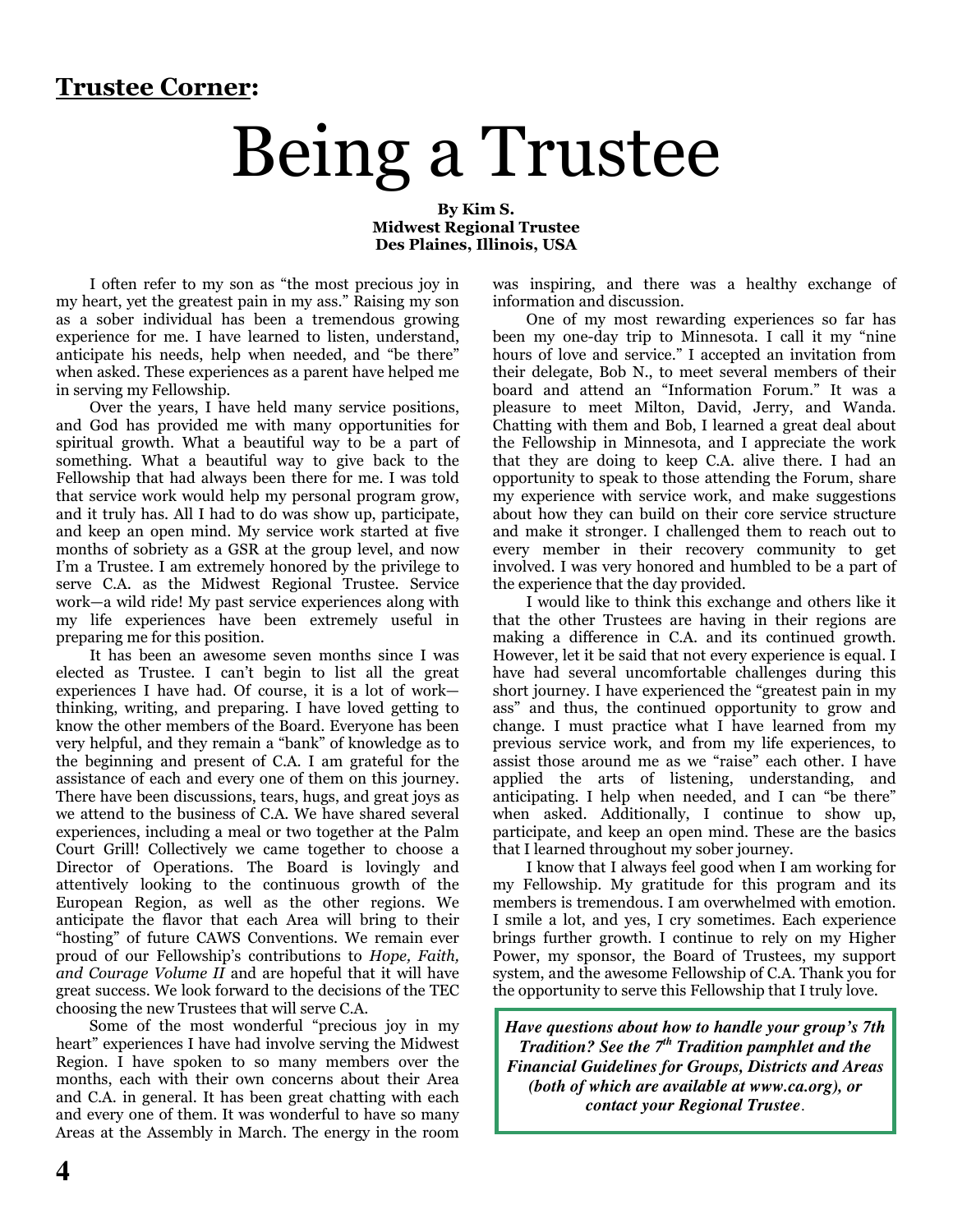# **Trustee Corner:**

# Being a Trustee

By Kim S. **Midwest Regional Trustee** Des Plaines, Illinois, USA

I often refer to my son as "the most precious joy in my heart, yet the greatest pain in my ass." Raising my son as a sober individual has been a tremendous growing experience for me. I have learned to listen, understand. anticipate his needs, help when needed, and "be there" when asked. These experiences as a parent have helped me in serving my Fellowship.

Over the years, I have held many service positions, and God has provided me with many opportunities for spiritual growth. What a beautiful way to be a part of something. What a beautiful way to give back to the Fellowship that had always been there for me. I was told that service work would help my personal program grow, and it truly has. All I had to do was show up, participate, and keep an open mind. My service work started at five months of sobriety as a GSR at the group level, and now I'm a Trustee. I am extremely honored by the privilege to serve C.A. as the Midwest Regional Trustee. Service work—a wild ride! My past service experiences along with my life experiences have been extremely useful in preparing me for this position.

It has been an awesome seven months since I was elected as Trustee. I can't begin to list all the great experiences I have had. Of course, it is a lot of workthinking, writing, and preparing. I have loved getting to know the other members of the Board. Everyone has been very helpful, and they remain a "bank" of knowledge as to the beginning and present of C.A. I am grateful for the assistance of each and every one of them on this journey. There have been discussions, tears, hugs, and great joys as we attend to the business of C.A. We have shared several experiences, including a meal or two together at the Palm Court Grill! Collectively we came together to choose a Director of Operations. The Board is lovingly and attentively looking to the continuous growth of the European Region, as well as the other regions. We anticipate the flavor that each Area will bring to their "hosting" of future CAWS Conventions. We remain ever proud of our Fellowship's contributions to *Hope*, *Faith*, and Courage Volume II and are hopeful that it will have great success. We look forward to the decisions of the TEC choosing the new Trustees that will serve C.A.

Some of the most wonderful "precious joy in my heart" experiences I have had involve serving the Midwest Region. I have spoken to so many members over the months, each with their own concerns about their Area and C.A. in general. It has been great chatting with each and every one of them. It was wonderful to have so many Areas at the Assembly in March. The energy in the room was inspiring, and there was a healthy exchange of information and discussion.

One of my most rewarding experiences so far has been my one-day trip to Minnesota. I call it my "nine" hours of love and service." I accepted an invitation from their delegate, Bob N., to meet several members of their board and attend an "Information Forum." It was a pleasure to meet Milton, David, Jerry, and Wanda. Chatting with them and Bob, I learned a great deal about the Fellowship in Minnesota, and I appreciate the work that they are doing to keep C.A. alive there. I had an opportunity to speak to those attending the Forum, share my experience with service work, and make suggestions about how they can build on their core service structure and make it stronger. I challenged them to reach out to every member in their recovery community to get involved. I was very honored and humbled to be a part of the experience that the day provided.

I would like to think this exchange and others like it that the other Trustees are having in their regions are making a difference in C.A. and its continued growth. However, let it be said that not every experience is equal. I have had several uncomfortable challenges during this short journey. I have experienced the "greatest pain in my ass" and thus, the continued opportunity to grow and change. I must practice what I have learned from my previous service work, and from my life experiences, to assist those around me as we "raise" each other. I have applied the arts of listening, understanding, and<br>anticipating. I help when needed, and I can "be there" when asked. Additionally, I continue to show up, participate, and keep an open mind. These are the basics that I learned throughout my sober journey.

I know that I always feel good when I am working for my Fellowship. My gratitude for this program and its members is tremendous. I am overwhelmed with emotion. I smile a lot, and yes, I cry sometimes. Each experience brings further growth. I continue to rely on my Higher Power, my sponsor, the Board of Trustees, my support system, and the awesome Fellowship of C.A. Thank you for the opportunity to serve this Fellowship that I truly love.

Have questions about how to handle your group's 7th Tradition? See the 7<sup>th</sup> Tradition pamphlet and the **Financial Guidelines for Groups, Districts and Areas** (both of which are available at www.ca.org), or contact your Regional Trustee.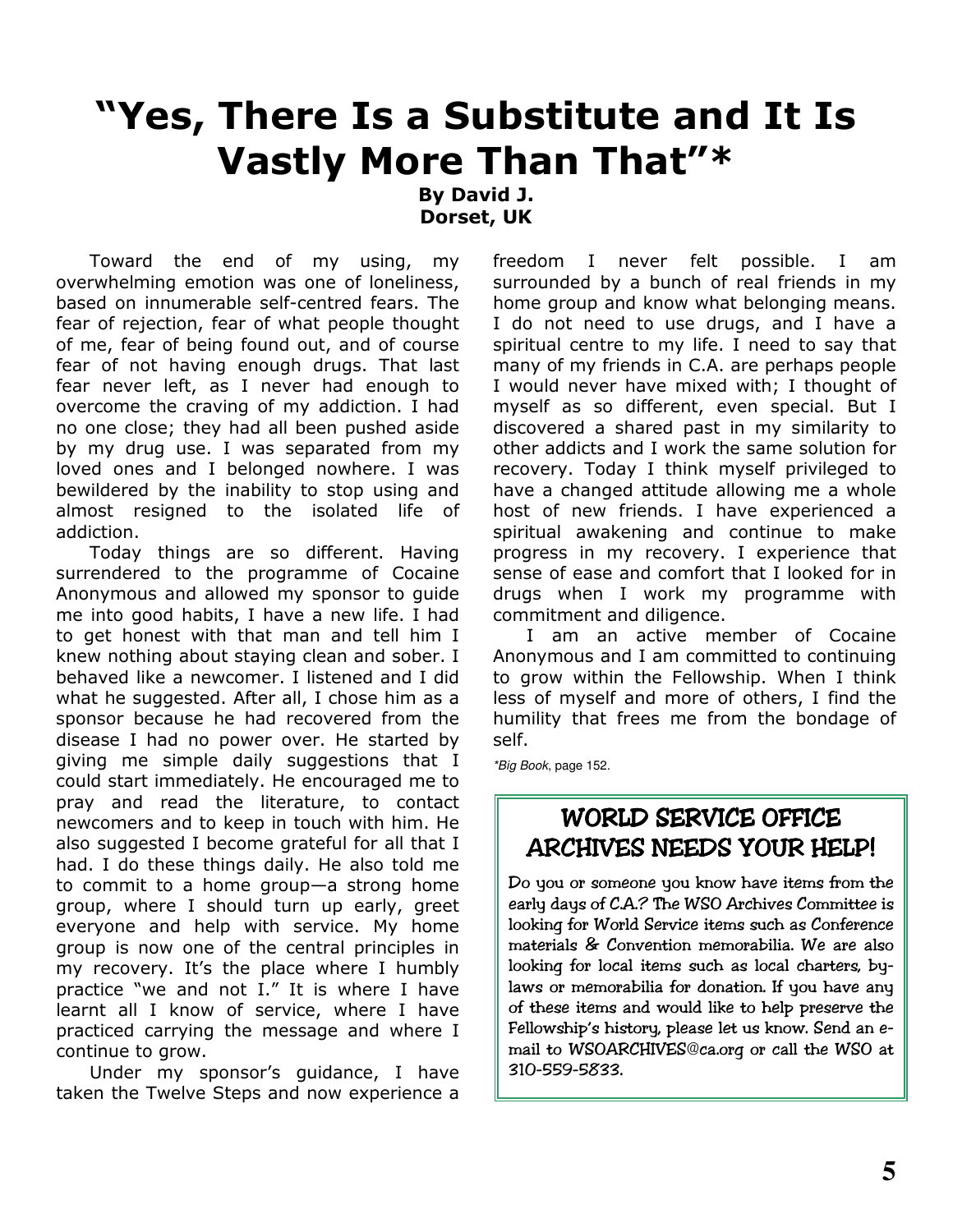# "Yes, There Is a Substitute and It Is **Vastly More Than That"\***

**By David J.** Dorset, UK

Toward the end of my using, my overwhelming emotion was one of loneliness, based on innumerable self-centred fears. The fear of rejection, fear of what people thought of me, fear of being found out, and of course fear of not having enough drugs. That last fear never left, as I never had enough to overcome the craving of my addiction. I had no one close; they had all been pushed aside by my drug use. I was separated from my loved ones and I belonged nowhere. I was bewildered by the inability to stop using and almost resigned to the isolated life of addiction.

Today things are so different. Having surrendered to the programme of Cocaine Anonymous and allowed my sponsor to quide me into good habits, I have a new life. I had to get honest with that man and tell him I knew nothing about staying clean and sober. I behaved like a newcomer. I listened and I did what he suggested. After all, I chose him as a sponsor because he had recovered from the disease I had no power over. He started by giving me simple daily suggestions that I could start immediately. He encouraged me to pray and read the literature, to contact newcomers and to keep in touch with him. He also suggested I become grateful for all that I had. I do these things daily. He also told me to commit to a home group-a strong home group, where I should turn up early, greet everyone and help with service. My home group is now one of the central principles in my recovery. It's the place where I humbly practice "we and not I." It is where I have learnt all I know of service, where I have practiced carrying the message and where I continue to grow.

Under my sponsor's guidance, I have taken the Twelve Steps and now experience a freedom I never felt possible.  $\mathbf{I}$  $am$ surrounded by a bunch of real friends in my home group and know what belonging means. I do not need to use drugs, and I have a spiritual centre to my life. I need to say that many of my friends in C.A. are perhaps people I would never have mixed with; I thought of myself as so different, even special. But I discovered a shared past in my similarity to other addicts and I work the same solution for recovery. Today I think myself privileged to have a changed attitude allowing me a whole host of new friends. I have experienced a spiritual awakening and continue to make progress in my recovery. I experience that sense of ease and comfort that I looked for in drugs when I work my programme with commitment and diligence.

I am an active member of Cocaine Anonymous and I am committed to continuing to arow within the Fellowship. When I think less of myself and more of others, I find the humility that frees me from the bondage of self.

\*Big Book, page 152.

# **WORLD SERVICE OFFICE ARCHIVES NEEDS YOUR HELP!**

Do you or someone you know have items from the early days of C.A.? The WSO Archives Committee is looking for World Service items such as Conference materials & Convention memorabilia. We are also looking for local items such as local charters, bylaws or memorabilia for donation. If you have any of these items and would like to help preserve the Fellowship's history, please let us know. Send an email to WSOARCHIVES@ca.org or call the WSO at 310-559-5833.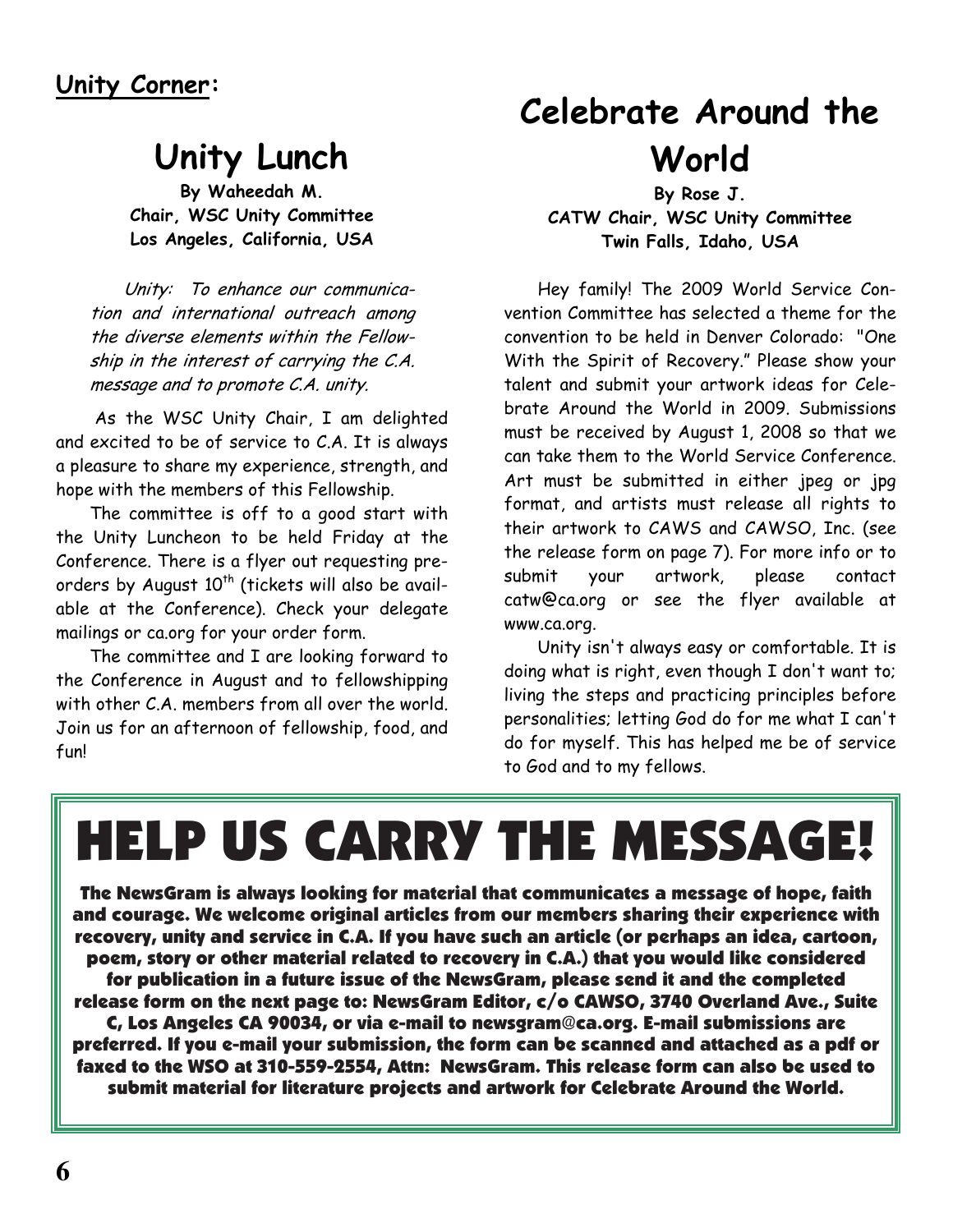# Unity Lunch

By Waheedah M. Chair, WSC Unity Committee Los Angeles, California, USA

Unity: To enhance our communication and international outreach among the diverse elements within the Fellowship in the interest of carrying the C.A. message and to promote C.A. unity.

As the WSC Unity Chair, I am delighted and excited to be of service to C.A. It is always a pleasure to share my experience, strength, and hope with the members of this Fellowship.

The committee is off to a good start with the Unity Luncheon to be held Friday at the Conference. There is a flyer out requesting preorders by August 10<sup>th</sup> (tickets will also be available at the Conference). Check your delegate mailings or ca.org for your order form.

The committee and I are looking forward to the Conference in August and to fellowshipping with other C.A. members from all over the world. Join us for an afternoon of fellowship, food, and  $f<sub>1</sub>$ 

# **Celebrate Around the** World

By Rose J. CATW Chair, WSC Unity Committee Twin Falls, Idaho, USA

Hey family! The 2009 World Service Convention Committee has selected a theme for the convention to be held in Denver Colorado: "One With the Spirit of Recovery." Please show your talent and submit your artwork ideas for Celebrate Around the World in 2009. Submissions must be received by August 1, 2008 so that we can take them to the World Service Conference. Art must be submitted in either jpeg or jpg format, and artists must release all rights to their artwork to CAWS and CAWSO, Inc. (see the release form on page 7). For more info or to submit your artwork, please contact catw@ca.org or see the flyer available at www.ca.org.

Unity isn't always easy or comfortable. It is doing what is right, even though I don't want to; living the steps and practicing principles before personalities; letting God do for me what I can't do for myself. This has helped me be of service to God and to my fellows.

# **HELP US CARRY THE MESSAGE!**

The NewsGram is always looking for material that communicates a message of hope, faith and courage. We welcome original articles from our members sharing their experience with recovery, unity and service in C.A. If you have such an article (or perhaps an idea, cartoon, poem, story or other material related to recovery in C.A.) that you would like considered for publication in a future issue of the NewsGram, please send it and the completed release form on the next page to: NewsGram Editor, c/o CAWSO, 3740 Overland Ave., Suite C, Los Angeles CA 90034, or via e-mail to newsgram@ca.org. E-mail submissions are preferred. If you e-mail your submission, the form can be scanned and attached as a pdf or faxed to the WSO at 310-559-2554, Attn: NewsGram. This release form can also be used to submit material for literature proiects and artwork for Celebrate Around the World.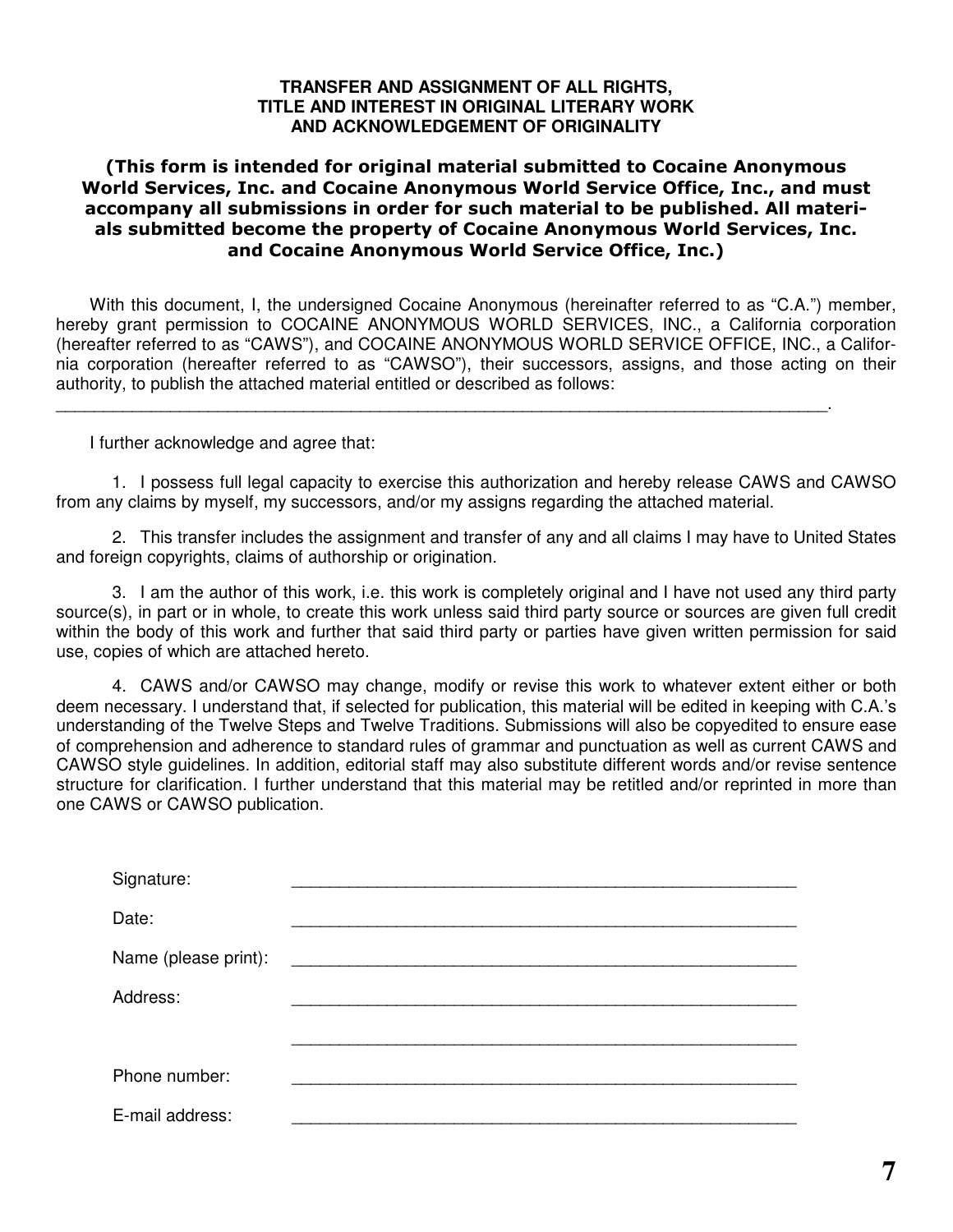# **TRANSFER AND ASSIGNMENT OF ALL RIGHTS, TITLE AND INTEREST IN ORIGINAL LITERARY WORK AND ACKNOWLEDGEMENT OF ORIGINALITY**

# (This form is intended for original material submitted to Cocaine Anonymous World Services, Inc. and Cocaine Anonymous World Service Office, Inc., and must accompany all submissions in order for such material to be published. All materials submitted become the property of Cocaine Anonymous World Services, Inc. and Cocaine Anonymous World Service Office, Inc.)

With this document, I, the undersigned Cocaine Anonymous (hereinafter referred to as "C.A.") member, hereby grant permission to COCAINE ANONYMOUS WORLD SERVICES, INC., a California corporation (hereafter referred to as "CAWS"), and COCAINE ANONYMOUS WORLD SERVICE OFFICE, INC., a California corporation (hereafter referred to as "CAWSO"), their successors, assigns, and those acting on their authority, to publish the attached material entitled or described as follows:

\_\_\_\_\_\_\_\_\_\_\_\_\_\_\_\_\_\_\_\_\_\_\_\_\_\_\_\_\_\_\_\_\_\_\_\_\_\_\_\_\_\_\_\_\_\_\_\_\_\_\_\_\_\_\_\_\_\_\_\_\_\_\_\_\_\_\_\_\_\_\_\_\_\_\_\_\_\_\_\_\_.

I further acknowledge and agree that:

1. I possess full legal capacity to exercise this authorization and hereby release CAWS and CAWSO from any claims by myself, my successors, and/or my assigns regarding the attached material.

2. This transfer includes the assignment and transfer of any and all claims I may have to United States and foreign copyrights, claims of authorship or origination.

3. I am the author of this work, i.e. this work is completely original and I have not used any third party source(s), in part or in whole, to create this work unless said third party source or sources are given full credit within the body of this work and further that said third party or parties have given written permission for said use, copies of which are attached hereto.

4. CAWS and/or CAWSO may change, modify or revise this work to whatever extent either or both deem necessary. I understand that, if selected for publication, this material will be edited in keeping with C.A.'s understanding of the Twelve Steps and Twelve Traditions. Submissions will also be copyedited to ensure ease of comprehension and adherence to standard rules of grammar and punctuation as well as current CAWS and CAWSO style guidelines. In addition, editorial staff may also substitute different words and/or revise sentence structure for clarification. I further understand that this material may be retitled and/or reprinted in more than one CAWS or CAWSO publication.

| Signature:           |  |
|----------------------|--|
| Date:                |  |
| Name (please print): |  |
| Address:             |  |
|                      |  |
| Phone number:        |  |
| E-mail address:      |  |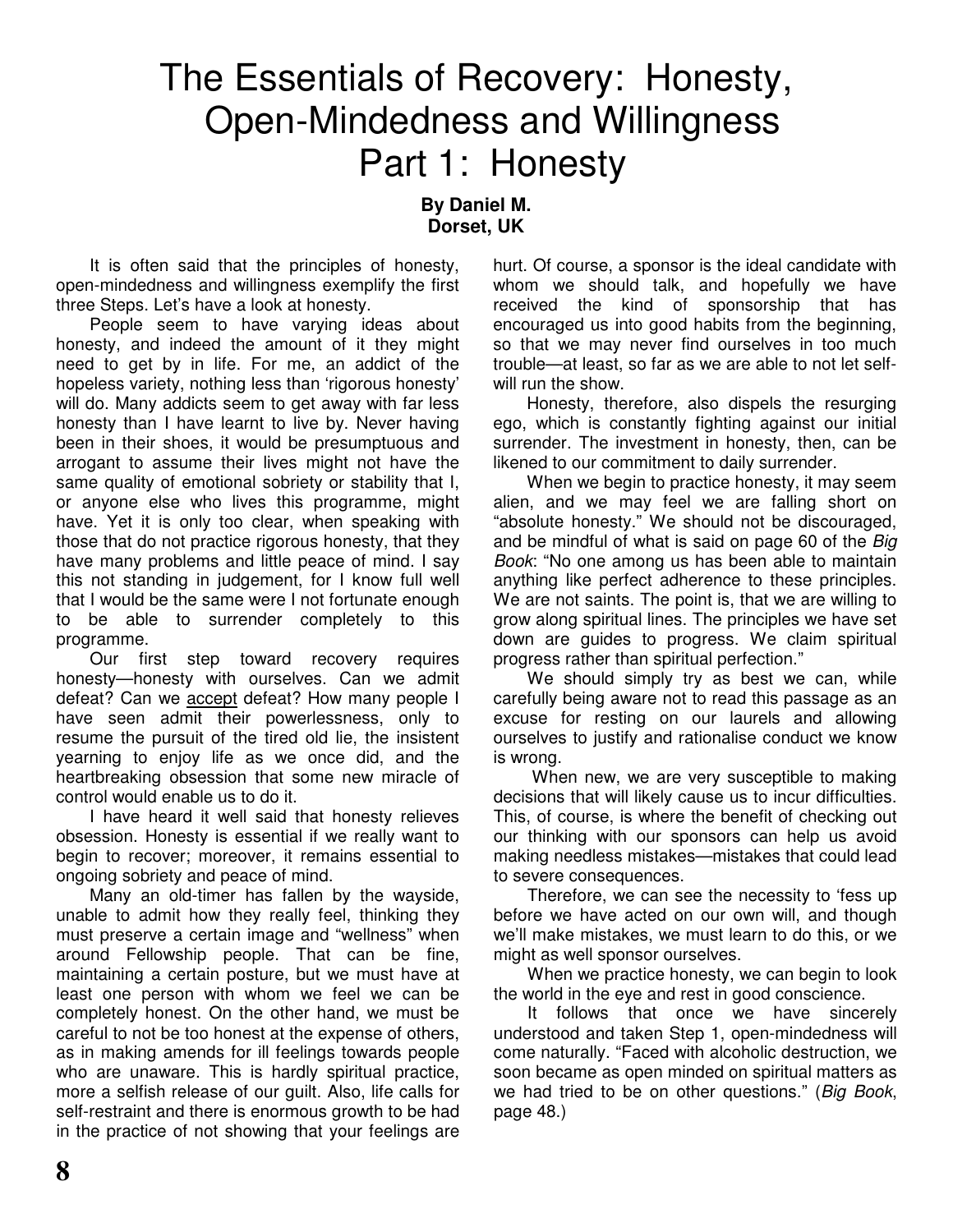# The Essentials of Recovery: Honesty, Open-Mindedness and Willingness Part 1: Honesty

**By Daniel M. Dorset, UK**

It is often said that the principles of honesty, open-mindedness and willingness exemplify the first three Steps. Let's have a look at honesty.

People seem to have varying ideas about honesty, and indeed the amount of it they might need to get by in life. For me, an addict of the hopeless variety, nothing less than 'rigorous honesty' will do. Many addicts seem to get away with far less honesty than I have learnt to live by. Never having been in their shoes, it would be presumptuous and arrogant to assume their lives might not have the same quality of emotional sobriety or stability that I, or anyone else who lives this programme, might have. Yet it is only too clear, when speaking with those that do not practice rigorous honesty, that they have many problems and little peace of mind. I say this not standing in judgement, for I know full well that I would be the same were I not fortunate enough to be able to surrender completely to this programme.

Our first step toward recovery requires honesty—honesty with ourselves. Can we admit defeat? Can we accept defeat? How many people I have seen admit their powerlessness, only to resume the pursuit of the tired old lie, the insistent yearning to enjoy life as we once did, and the heartbreaking obsession that some new miracle of control would enable us to do it.

I have heard it well said that honesty relieves obsession. Honesty is essential if we really want to begin to recover; moreover, it remains essential to ongoing sobriety and peace of mind.

Many an old-timer has fallen by the wayside, unable to admit how they really feel, thinking they must preserve a certain image and "wellness" when around Fellowship people. That can be fine, maintaining a certain posture, but we must have at least one person with whom we feel we can be completely honest. On the other hand, we must be careful to not be too honest at the expense of others, as in making amends for ill feelings towards people who are unaware. This is hardly spiritual practice, more a selfish release of our guilt. Also, life calls for self-restraint and there is enormous growth to be had in the practice of not showing that your feelings are hurt. Of course, a sponsor is the ideal candidate with whom we should talk, and hopefully we have received the kind of sponsorship that has encouraged us into good habits from the beginning, so that we may never find ourselves in too much trouble—at least, so far as we are able to not let selfwill run the show.

Honesty, therefore, also dispels the resurging ego, which is constantly fighting against our initial surrender. The investment in honesty, then, can be likened to our commitment to daily surrender.

When we begin to practice honesty, it may seem alien, and we may feel we are falling short on "absolute honesty." We should not be discouraged, and be mindful of what is said on page 60 of the *Big Book*: "No one among us has been able to maintain anything like perfect adherence to these principles. We are not saints. The point is, that we are willing to grow along spiritual lines. The principles we have set down are guides to progress. We claim spiritual progress rather than spiritual perfection."

We should simply try as best we can, while carefully being aware not to read this passage as an excuse for resting on our laurels and allowing ourselves to justify and rationalise conduct we know is wrong.

When new, we are very susceptible to making decisions that will likely cause us to incur difficulties. This, of course, is where the benefit of checking out our thinking with our sponsors can help us avoid making needless mistakes—mistakes that could lead to severe consequences.

Therefore, we can see the necessity to 'fess up before we have acted on our own will, and though we'll make mistakes, we must learn to do this, or we might as well sponsor ourselves.

When we practice honesty, we can begin to look the world in the eye and rest in good conscience.

It follows that once we have sincerely understood and taken Step 1, open-mindedness will come naturally. "Faced with alcoholic destruction, we soon became as open minded on spiritual matters as we had tried to be on other questions." (*Big Book*, page 48.)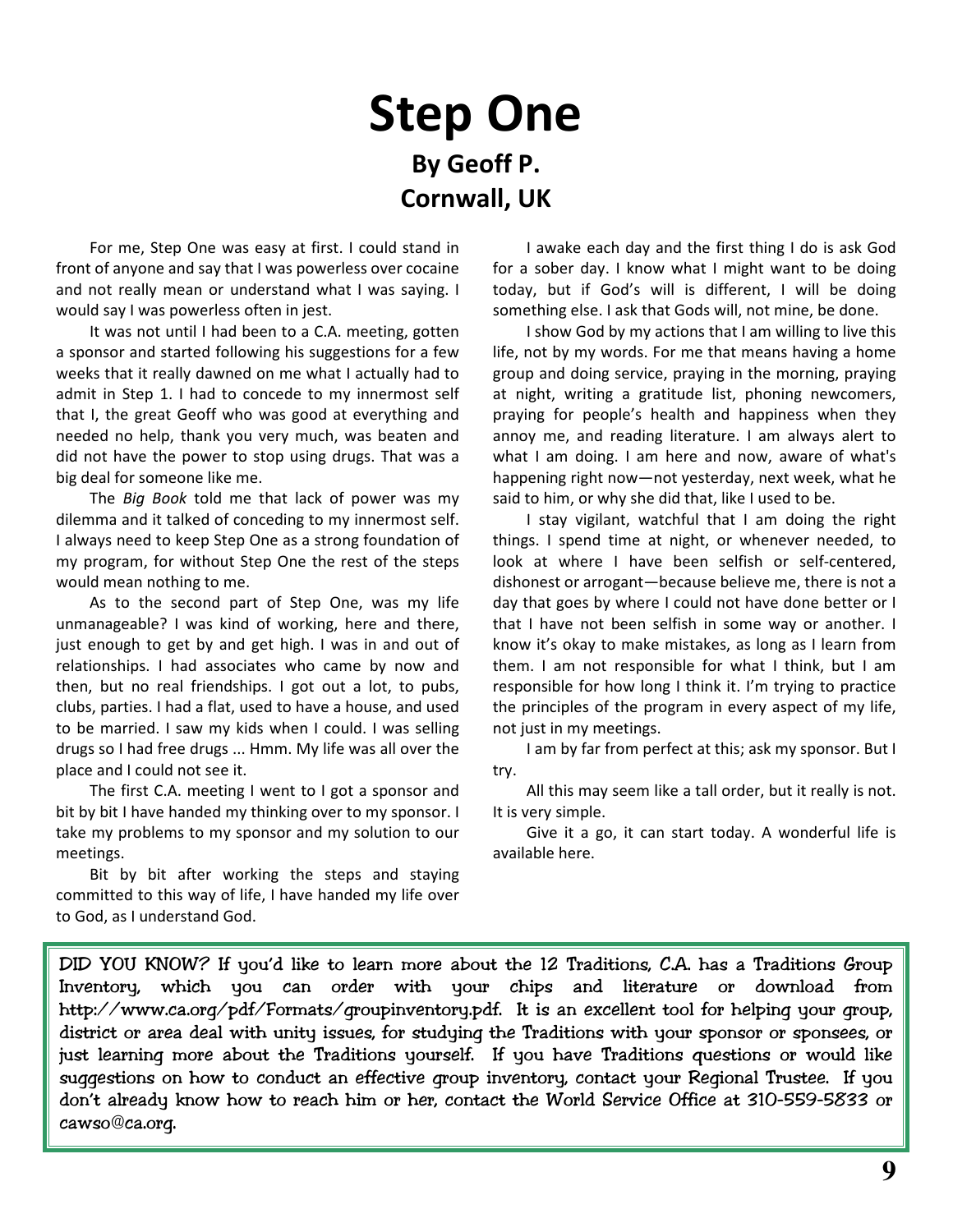# **Step One** By Geoff P. **Cornwall, UK**

For me, Step One was easy at first. I could stand in front of anyone and say that I was powerless over cocaine and not really mean or understand what I was saying. I would say I was powerless often in jest.

It was not until I had been to a C.A. meeting, gotten a sponsor and started following his suggestions for a few weeks that it really dawned on me what I actually had to admit in Step 1. I had to concede to my innermost self that I, the great Geoff who was good at everything and needed no help, thank you very much, was beaten and did not have the power to stop using drugs. That was a big deal for someone like me.

The Big Book told me that lack of power was my dilemma and it talked of conceding to my innermost self. I always need to keep Step One as a strong foundation of my program, for without Step One the rest of the steps would mean nothing to me.

As to the second part of Step One, was my life unmanageable? I was kind of working, here and there, just enough to get by and get high. I was in and out of relationships. I had associates who came by now and then, but no real friendships. I got out a lot, to pubs, clubs, parties. I had a flat, used to have a house, and used to be married. I saw my kids when I could. I was selling drugs so I had free drugs ... Hmm. My life was all over the place and I could not see it.

The first C.A. meeting I went to I got a sponsor and bit by bit I have handed my thinking over to my sponsor. I take my problems to my sponsor and my solution to our meetings.

Bit by bit after working the steps and staying committed to this way of life, I have handed my life over to God, as I understand God.

I awake each day and the first thing I do is ask God for a sober day. I know what I might want to be doing today, but if God's will is different, I will be doing something else. I ask that Gods will, not mine, be done.

I show God by my actions that I am willing to live this life, not by my words. For me that means having a home group and doing service, praying in the morning, praying at night, writing a gratitude list, phoning newcomers, praying for people's health and happiness when they annoy me, and reading literature. I am always alert to what I am doing. I am here and now, aware of what's happening right now-not yesterday, next week, what he said to him, or why she did that, like I used to be.

I stay vigilant, watchful that I am doing the right things. I spend time at night, or whenever needed, to look at where I have been selfish or self-centered. dishonest or arrogant-because believe me, there is not a day that goes by where I could not have done better or I that I have not been selfish in some way or another. I know it's okay to make mistakes, as long as I learn from them. I am not responsible for what I think, but I am responsible for how long I think it. I'm trying to practice the principles of the program in every aspect of my life, not just in my meetings.

I am by far from perfect at this; ask my sponsor. But I try.

All this may seem like a tall order, but it really is not. It is very simple.

Give it a go, it can start today. A wonderful life is available here.

DID YOU KNOW? If you'd like to learn more about the 12 Traditions, C.A. has a Traditions Group Inventory, which you can order with your chips and literature or download from http://www.ca.org/pdf/Formats/groupinventory.pdf. It is an excellent tool for helping your group, district or area deal with unity issues, for studying the Traditions with your sponsor or sponsees, or just learning more about the Traditions yourself. If you have Traditions questions or would like suggestions on how to conduct an effective group inventory, contact your Regional Trustee. If you don't already know how to reach him or her, contact the World Service Office at 310-559-5833 or cawso@ca.org.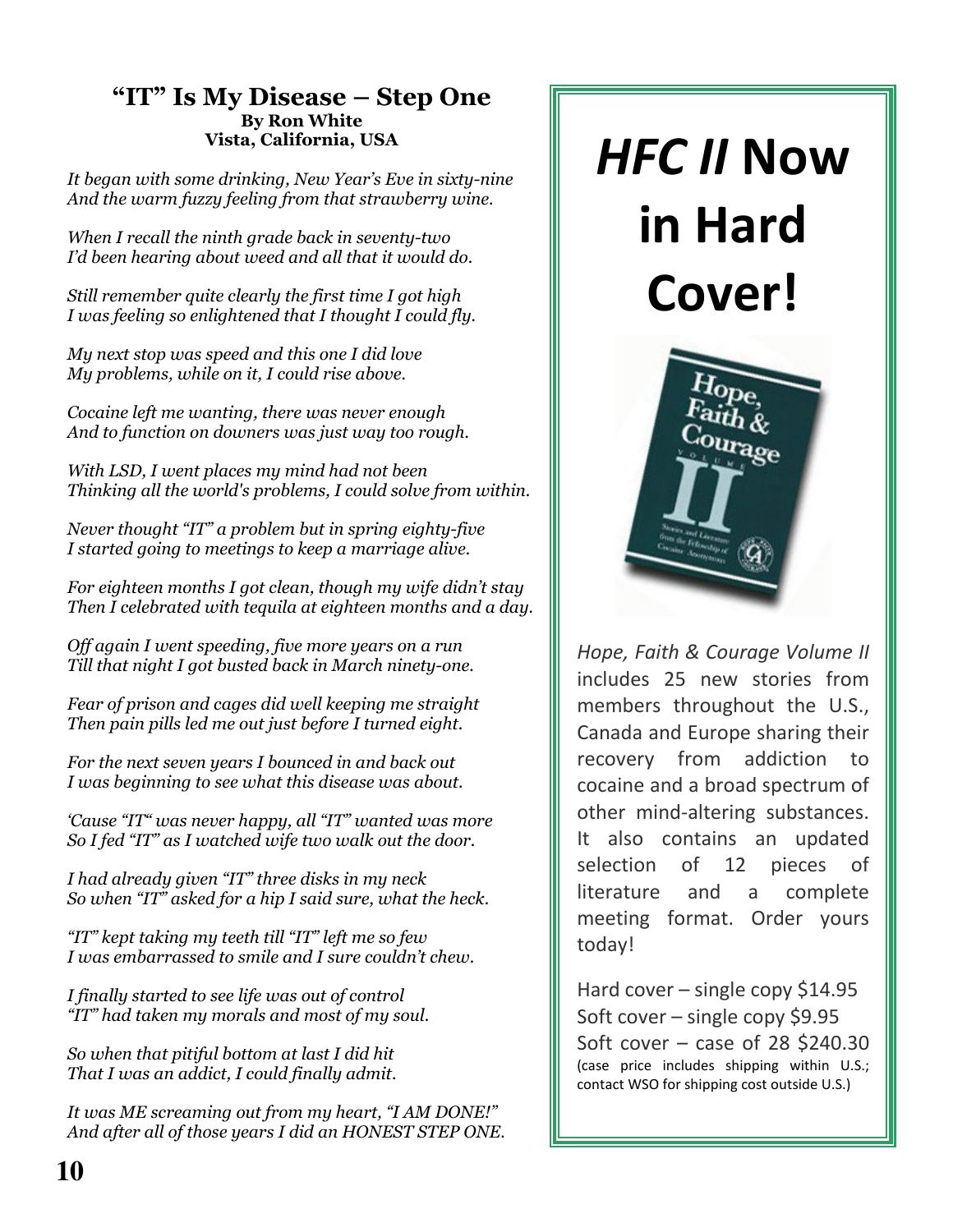# "IT" Is My Disease – Step One **By Ron White** Vista, California, USA

It began with some drinking, New Year's Eve in sixty-nine And the warm fuzzy feeling from that strawberry wine.

When I recall the ninth grade back in seventy-two I'd been hearing about weed and all that it would do.

Still remember quite clearly the first time I got high I was feeling so enlightened that I thought I could fly.

My next stop was speed and this one I did love My problems, while on it, I could rise above.

Cocaine left me wanting, there was never enough And to function on downers was just way too rough.

With LSD, I went places my mind had not been Thinking all the world's problems, I could solve from within.

Never thought "IT" a problem but in spring eighty-five I started going to meetings to keep a marriage alive.

For eighteen months I got clean, though my wife didn't stay Then I celebrated with tequila at eighteen months and a day.

Off again I went speeding, five more years on a run Till that night I got busted back in March ninety-one.

Fear of prison and cages did well keeping me straight Then pain pills led me out just before I turned eight.

For the next seven years I bounced in and back out I was beginning to see what this disease was about.

'Cause "IT" was never happy, all "IT" wanted was more So I fed "IT" as I watched wife two walk out the door.

I had already given "IT" three disks in my neck So when "IT" asked for a hip I said sure, what the heck.

"IT" kept taking my teeth till "IT" left me so few I was embarrassed to smile and I sure couldn't chew.

I finally started to see life was out of control "IT" had taken my morals and most of my soul.

So when that pitiful bottom at last I did hit That I was an addict, I could finally admit.

It was ME screaming out from my heart, "I AM DONE!" And after all of those years I did an HONEST STEP ONE.

# **HFC II Now** in Hard Cover!



Hope, Faith & Courage Volume II includes 25 new stories from members throughout the U.S., Canada and Europe sharing their recovery from addiction to cocaine and a broad spectrum of other mind-altering substances. It also contains an updated selection of 12 pieces of literature and  $\mathsf{a}$ complete meeting format. Order yours today!

Hard cover  $-$  single copy \$14.95 Soft cover  $-$  single copy \$9.95 Soft cover  $-$  case of 28 \$240.30 (case price includes shipping within U.S.; contact WSO for shipping cost outside U.S.)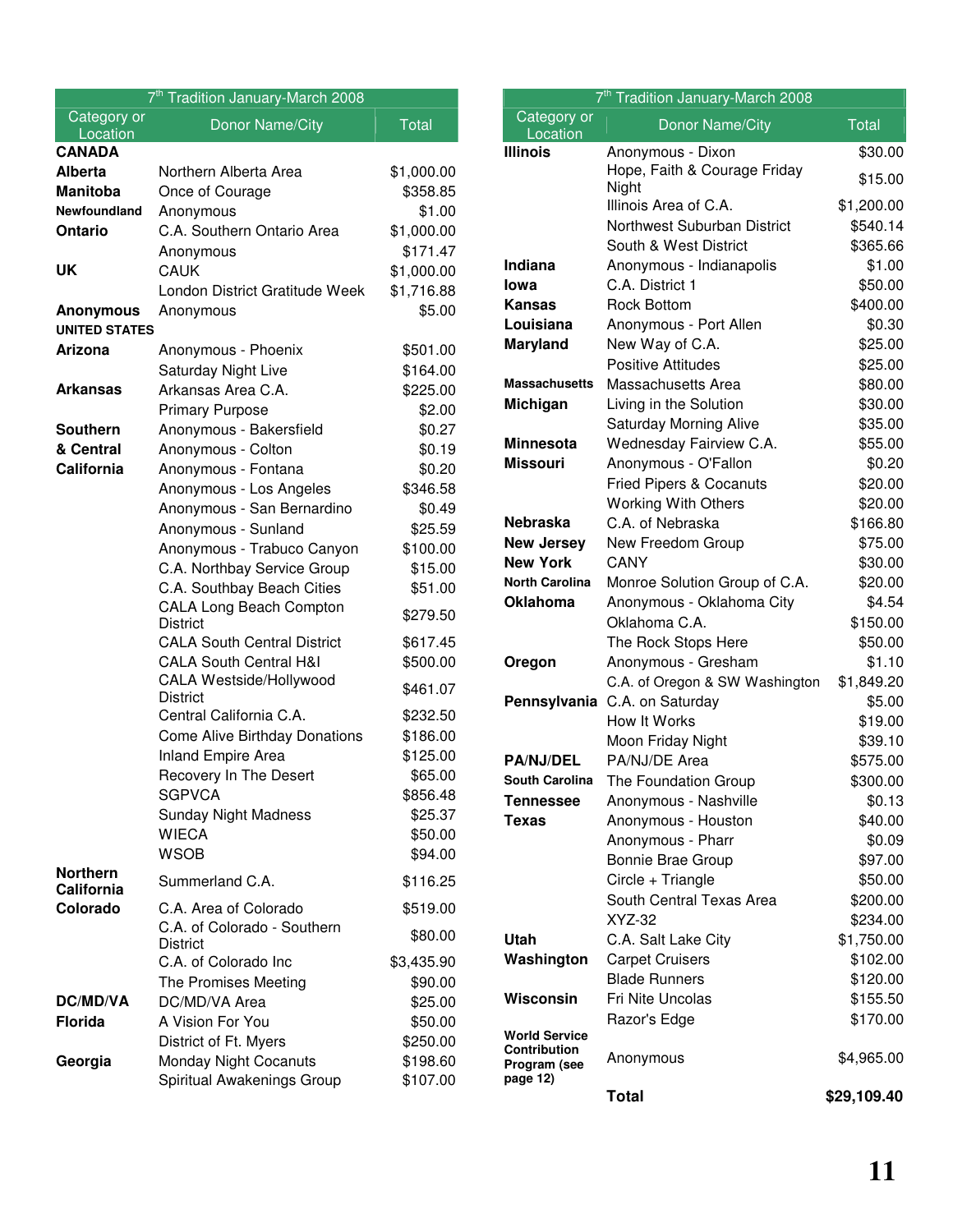| 7 <sup>th</sup> Tradition January-March 2008 |                                                   |              |
|----------------------------------------------|---------------------------------------------------|--------------|
| Category or<br>Location                      | Donor Name/City                                   | <b>Total</b> |
| <b>CANADA</b>                                |                                                   |              |
| <b>Alberta</b>                               | Northern Alberta Area                             | \$1,000.00   |
| <b>Manitoba</b>                              | Once of Courage                                   | \$358.85     |
| Newfoundland                                 | Anonymous                                         | \$1.00       |
| <b>Ontario</b>                               | C.A. Southern Ontario Area                        | \$1,000.00   |
|                                              | Anonymous                                         | \$171.47     |
| UK                                           | <b>CAUK</b>                                       | \$1,000.00   |
|                                              | London District Gratitude Week                    | \$1,716.88   |
| <b>Anonymous</b><br><b>UNITED STATES</b>     | Anonymous                                         | \$5.00       |
| Arizona                                      | Anonymous - Phoenix                               | \$501.00     |
|                                              | Saturday Night Live                               | \$164.00     |
| <b>Arkansas</b>                              | Arkansas Area C.A.                                | \$225.00     |
|                                              | <b>Primary Purpose</b>                            | \$2.00       |
| <b>Southern</b>                              | Anonymous - Bakersfield                           | \$0.27       |
| & Central                                    | Anonymous - Colton                                | \$0.19       |
| California                                   | Anonymous - Fontana                               | \$0.20       |
|                                              | Anonymous - Los Angeles                           | \$346.58     |
|                                              | Anonymous - San Bernardino                        | \$0.49       |
|                                              | Anonymous - Sunland                               | \$25.59      |
|                                              | Anonymous - Trabuco Canyon                        | \$100.00     |
|                                              | C.A. Northbay Service Group                       | \$15.00      |
|                                              | C.A. Southbay Beach Cities                        | \$51.00      |
|                                              | <b>CALA Long Beach Compton</b><br><b>District</b> | \$279.50     |
|                                              | <b>CALA South Central District</b>                | \$617.45     |
|                                              | <b>CALA South Central H&amp;I</b>                 | \$500.00     |
|                                              | CALA Westside/Hollywood<br>District               | \$461.07     |
|                                              | Central California C.A.                           | \$232.50     |
|                                              | <b>Come Alive Birthday Donations</b>              | \$186.00     |
|                                              | <b>Inland Empire Area</b>                         | \$125.00     |
|                                              | Recovery In The Desert                            | \$65.00      |
|                                              | <b>SGPVCA</b>                                     | \$856.48     |
|                                              | <b>Sunday Night Madness</b>                       | \$25.37      |
|                                              | <b>WIECA</b>                                      | \$50.00      |
|                                              | <b>WSOB</b>                                       | \$94.00      |
| <b>Northern</b><br>California                | Summerland C.A.                                   | \$116.25     |
| Colorado                                     | C.A. Area of Colorado                             | \$519.00     |
|                                              | C.A. of Colorado - Southern<br><b>District</b>    | \$80.00      |
|                                              | C.A. of Colorado Inc                              | \$3,435.90   |
|                                              | The Promises Meeting                              | \$90.00      |
| DC/MD/VA                                     | DC/MD/VA Area                                     | \$25.00      |
| <b>Florida</b>                               | A Vision For You                                  | \$50.00      |
|                                              | District of Ft. Myers                             | \$250.00     |
| Georgia                                      | Monday Night Cocanuts                             | \$198.60     |
|                                              | Spiritual Awakenings Group                        | \$107.00     |

| 7 <sup>th</sup> Tradition January-March 2008                            |                                       |                    |
|-------------------------------------------------------------------------|---------------------------------------|--------------------|
| Category or<br>Location                                                 | Donor Name/City                       | <b>Total</b>       |
| <b>Illinois</b>                                                         | Anonymous - Dixon                     | \$30.00            |
|                                                                         | Hope, Faith & Courage Friday<br>Night | \$15.00            |
|                                                                         | Illinois Area of C.A.                 | \$1,200.00         |
|                                                                         | Northwest Suburban District           | \$540.14           |
|                                                                         | South & West District                 | \$365.66           |
| Indiana                                                                 | Anonymous - Indianapolis              | \$1.00             |
| lowa                                                                    | C.A. District 1                       | \$50.00            |
| <b>Kansas</b>                                                           | <b>Rock Bottom</b>                    | \$400.00           |
| Louisiana                                                               | Anonymous - Port Allen                | \$0.30             |
| <b>Maryland</b>                                                         | New Way of C.A.                       | \$25.00            |
|                                                                         | <b>Positive Attitudes</b>             | \$25.00            |
| <b>Massachusetts</b>                                                    | Massachusetts Area                    | \$80.00            |
| Michigan                                                                | Living in the Solution                | \$30.00            |
|                                                                         | <b>Saturday Morning Alive</b>         | \$35.00            |
| <b>Minnesota</b>                                                        | Wednesday Fairview C.A.               | \$55.00            |
| <b>Missouri</b>                                                         | Anonymous - O'Fallon                  | \$0.20             |
|                                                                         | <b>Fried Pipers &amp; Cocanuts</b>    | \$20.00            |
|                                                                         | <b>Working With Others</b>            | \$20.00            |
| <b>Nebraska</b>                                                         | C.A. of Nebraska                      | \$166.80           |
| <b>New Jersey</b>                                                       | New Freedom Group                     | \$75.00            |
| <b>New York</b>                                                         | CANY                                  | \$30.00            |
| <b>North Carolina</b>                                                   | Monroe Solution Group of C.A.         | \$20.00            |
| <b>Oklahoma</b>                                                         | Anonymous - Oklahoma City             | \$4.54             |
|                                                                         | Oklahoma C.A.                         | \$150.00           |
|                                                                         | The Rock Stops Here                   | \$50.00            |
| Oregon                                                                  | Anonymous - Gresham                   | \$1.10             |
|                                                                         | C.A. of Oregon & SW Washington        | \$1,849.20         |
| Pennsylvania                                                            | C.A. on Saturday<br>How It Works      | \$5.00             |
|                                                                         | Moon Friday Night                     | \$19.00<br>\$39.10 |
| <b>PA/NJ/DEL</b>                                                        | PA/NJ/DE Area                         | \$575.00           |
| South Carolina                                                          | The Foundation Group                  | \$300.00           |
| <b>Tennessee</b>                                                        | Anonymous - Nashville                 | \$0.13             |
| <b>Texas</b>                                                            | Anonymous - Houston                   | \$40.00            |
|                                                                         | Anonymous - Pharr                     | \$0.09             |
|                                                                         | <b>Bonnie Brae Group</b>              | \$97.00            |
|                                                                         | Circle + Triangle                     | \$50.00            |
|                                                                         | South Central Texas Area              | \$200.00           |
|                                                                         | XYZ-32                                | \$234.00           |
| Utah                                                                    | C.A. Salt Lake City                   | \$1,750.00         |
| Washington                                                              | <b>Carpet Cruisers</b>                | \$102.00           |
|                                                                         | <b>Blade Runners</b>                  | \$120.00           |
| Wisconsin                                                               | <b>Fri Nite Uncolas</b>               | \$155.50           |
|                                                                         | Razor's Edge                          | \$170.00           |
| <b>World Service</b><br><b>Contribution</b><br>Program (see<br>page 12) | Anonymous                             | \$4,965.00         |
|                                                                         | <b>Total</b>                          | \$29,109.40        |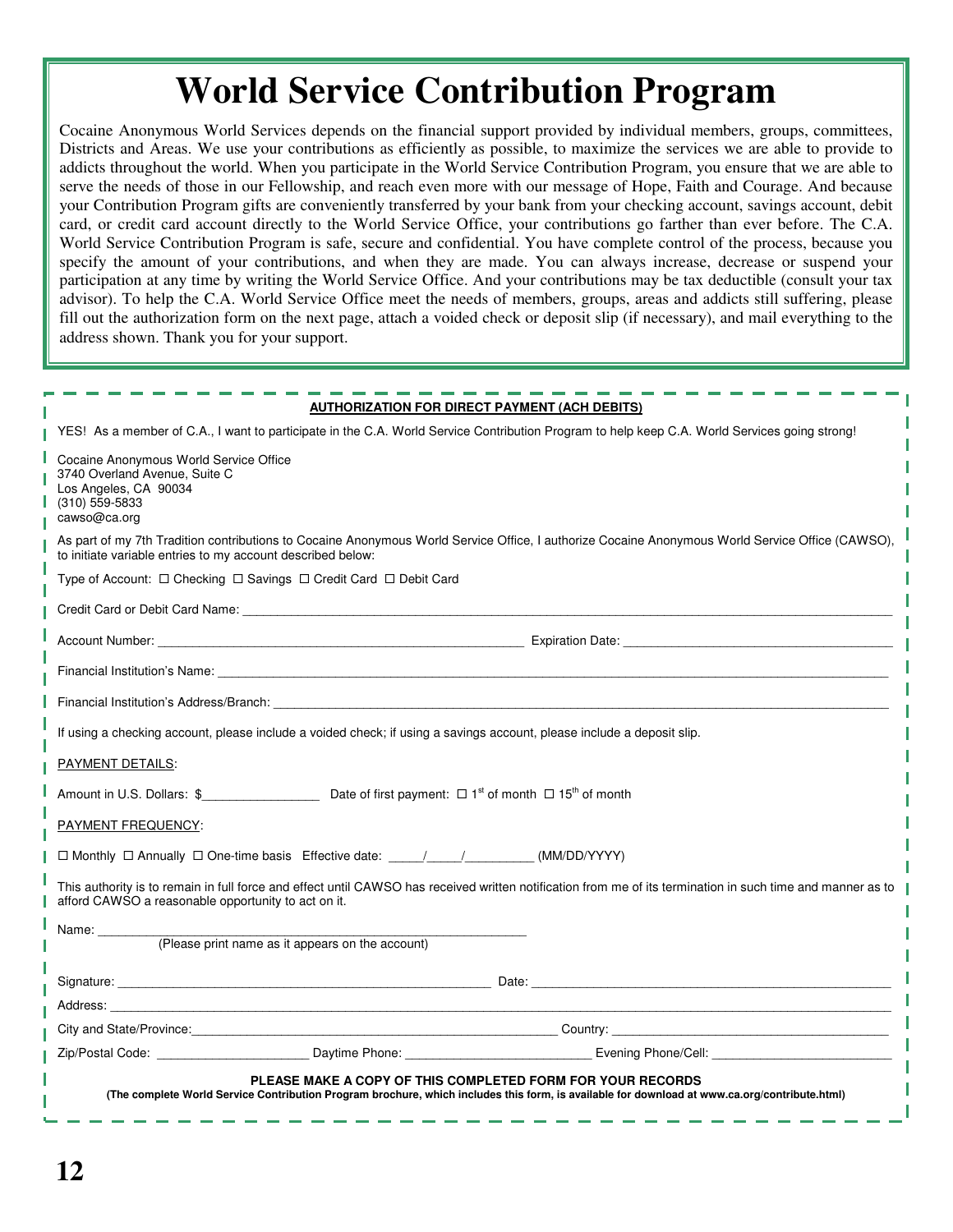# **World Service Contribution Program**

Cocaine Anonymous World Services depends on the financial support provided by individual members, groups, committees, Districts and Areas. We use your contributions as efficiently as possible, to maximize the services we are able to provide to addicts throughout the world. When you participate in the World Service Contribution Program, you ensure that we are able to serve the needs of those in our Fellowship, and reach even more with our message of Hope, Faith and Courage. And because your Contribution Program gifts are conveniently transferred by your bank from your checking account, savings account, debit card, or credit card account directly to the World Service Office, your contributions go farther than ever before. The C.A. World Service Contribution Program is safe, secure and confidential. You have complete control of the process, because you specify the amount of your contributions, and when they are made. You can always increase, decrease or suspend your participation at any time by writing the World Service Office. And your contributions may be tax deductible (consult your tax advisor). To help the C.A. World Service Office meet the needs of members, groups, areas and addicts still suffering, please fill out the authorization form on the next page, attach a voided check or deposit slip (if necessary), and mail everything to the address shown. Thank you for your support.

|                                                                                                                                                                                                                                | <b>AUTHORIZATION FOR DIRECT PAYMENT (ACH DEBITS)</b> |                                                                                                                                                                                                                                     |
|--------------------------------------------------------------------------------------------------------------------------------------------------------------------------------------------------------------------------------|------------------------------------------------------|-------------------------------------------------------------------------------------------------------------------------------------------------------------------------------------------------------------------------------------|
|                                                                                                                                                                                                                                |                                                      | YES! As a member of C.A., I want to participate in the C.A. World Service Contribution Program to help keep C.A. World Services going strong!                                                                                       |
| Cocaine Anonymous World Service Office<br>3740 Overland Avenue, Suite C<br>Los Angeles, CA 90034<br>$(310)$ 559-5833<br>cawso@ca.org                                                                                           |                                                      |                                                                                                                                                                                                                                     |
| to initiate variable entries to my account described below:                                                                                                                                                                    |                                                      | As part of my 7th Tradition contributions to Cocaine Anonymous World Service Office, I authorize Cocaine Anonymous World Service Office (CAWSO),                                                                                    |
| Type of Account: □ Checking □ Savings □ Credit Card □ Debit Card                                                                                                                                                               |                                                      |                                                                                                                                                                                                                                     |
|                                                                                                                                                                                                                                |                                                      |                                                                                                                                                                                                                                     |
|                                                                                                                                                                                                                                |                                                      |                                                                                                                                                                                                                                     |
|                                                                                                                                                                                                                                |                                                      |                                                                                                                                                                                                                                     |
| Financial Institution's Address/Branch: The Contract of the Contract of the Contract of the Contract of the Contract of the Contract of the Contract of the Contract of the Contract of the Contract of the Contract of the Co |                                                      |                                                                                                                                                                                                                                     |
| If using a checking account, please include a voided check; if using a savings account, please include a deposit slip.                                                                                                         |                                                      |                                                                                                                                                                                                                                     |
| PAYMENT DETAILS:                                                                                                                                                                                                               |                                                      |                                                                                                                                                                                                                                     |
|                                                                                                                                                                                                                                |                                                      |                                                                                                                                                                                                                                     |
| <b>PAYMENT FREQUENCY:</b>                                                                                                                                                                                                      |                                                      |                                                                                                                                                                                                                                     |
| □ Monthly □ Annually □ One-time basis Effective date: ____/____/__________(MM/DD/YYYY)                                                                                                                                         |                                                      |                                                                                                                                                                                                                                     |
| This authority is to remain in full force and effect until CAWSO has received written notification from me of its termination in such time and manner as to<br>afford CAWSO a reasonable opportunity to act on it.             |                                                      |                                                                                                                                                                                                                                     |
| Name: __________                                                                                                                                                                                                               |                                                      |                                                                                                                                                                                                                                     |
| (Please print name as it appears on the account)                                                                                                                                                                               |                                                      |                                                                                                                                                                                                                                     |
|                                                                                                                                                                                                                                |                                                      |                                                                                                                                                                                                                                     |
|                                                                                                                                                                                                                                |                                                      |                                                                                                                                                                                                                                     |
|                                                                                                                                                                                                                                |                                                      | City and State/Province: <u>Country:</u> Country: Country: Country: Country: Country: Country: Country: Country: Country: Country: Country: Country: Country: Country: Country: Country: Country: Country: Country: Country: Countr |
|                                                                                                                                                                                                                                |                                                      |                                                                                                                                                                                                                                     |
| PLEASE MAKE A COPY OF THIS COMPLETED FORM FOR YOUR RECORDS<br>(The complete World Service Contribution Program brochure, which includes this form, is available for download at www.ca.org/contribute.html)                    |                                                      |                                                                                                                                                                                                                                     |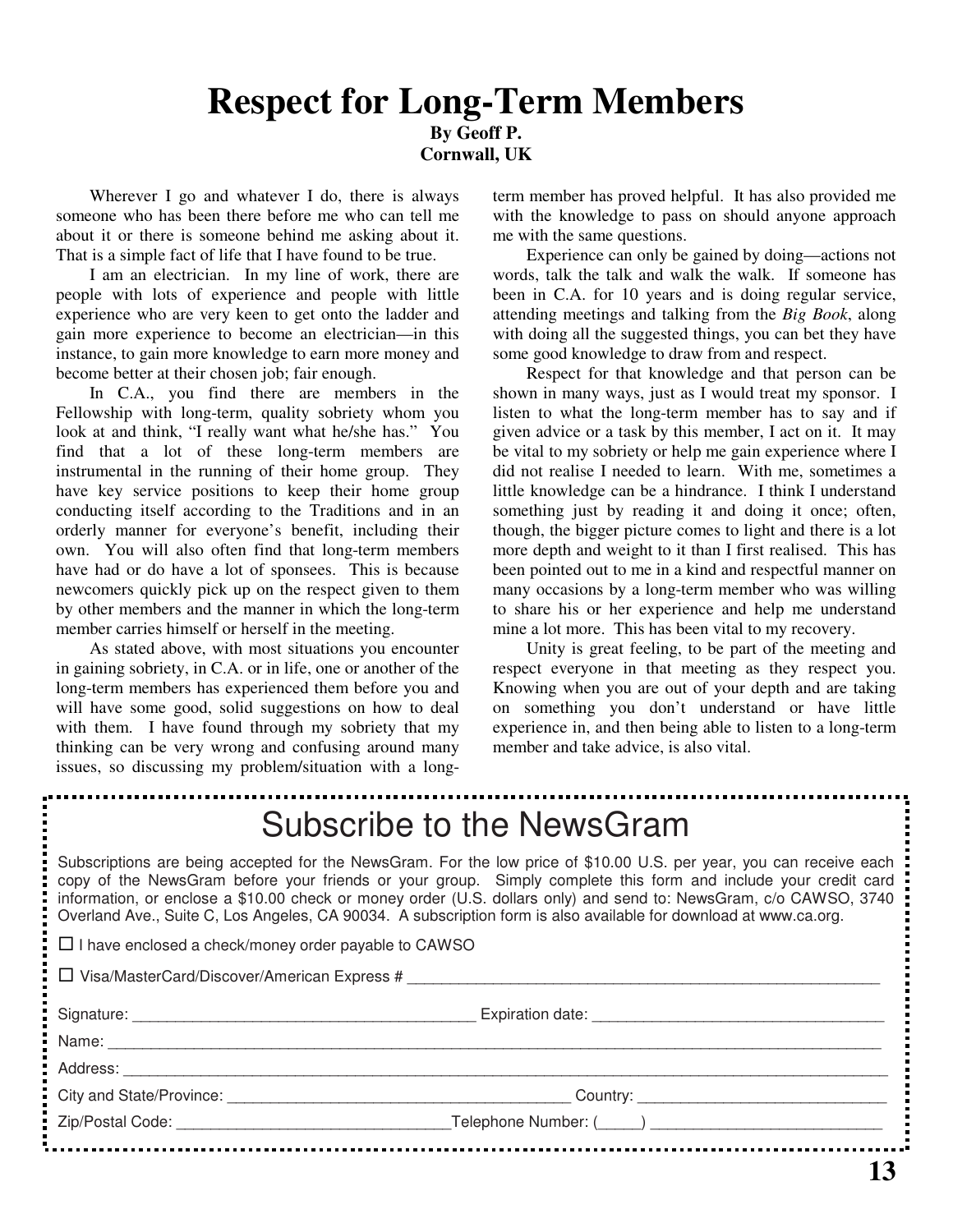# **Respect for Long-Term Members By Geoff P. Cornwall, UK**

Wherever I go and whatever I do, there is always someone who has been there before me who can tell me about it or there is someone behind me asking about it. That is a simple fact of life that I have found to be true.

I am an electrician. In my line of work, there are people with lots of experience and people with little experience who are very keen to get onto the ladder and gain more experience to become an electrician—in this instance, to gain more knowledge to earn more money and become better at their chosen job; fair enough.

In C.A., you find there are members in the Fellowship with long-term, quality sobriety whom you look at and think, "I really want what he/she has." You find that a lot of these long-term members are instrumental in the running of their home group. They have key service positions to keep their home group conducting itself according to the Traditions and in an orderly manner for everyone's benefit, including their own. You will also often find that long-term members have had or do have a lot of sponsees. This is because newcomers quickly pick up on the respect given to them by other members and the manner in which the long-term member carries himself or herself in the meeting.

As stated above, with most situations you encounter in gaining sobriety, in C.A. or in life, one or another of the long-term members has experienced them before you and will have some good, solid suggestions on how to deal with them. I have found through my sobriety that my thinking can be very wrong and confusing around many issues, so discussing my problem/situation with a longterm member has proved helpful. It has also provided me with the knowledge to pass on should anyone approach me with the same questions.

Experience can only be gained by doing—actions not words, talk the talk and walk the walk. If someone has been in C.A. for 10 years and is doing regular service, attending meetings and talking from the *Big Book*, along with doing all the suggested things, you can bet they have some good knowledge to draw from and respect.

Respect for that knowledge and that person can be shown in many ways, just as I would treat my sponsor. I listen to what the long-term member has to say and if given advice or a task by this member, I act on it. It may be vital to my sobriety or help me gain experience where I did not realise I needed to learn. With me, sometimes a little knowledge can be a hindrance. I think I understand something just by reading it and doing it once; often, though, the bigger picture comes to light and there is a lot more depth and weight to it than I first realised. This has been pointed out to me in a kind and respectful manner on many occasions by a long-term member who was willing to share his or her experience and help me understand mine a lot more. This has been vital to my recovery.

Unity is great feeling, to be part of the meeting and respect everyone in that meeting as they respect you. Knowing when you are out of your depth and are taking on something you don't understand or have little experience in, and then being able to listen to a long-term member and take advice, is also vital.

| Subscribe to the NewsGram                                                                                                                                                                                                                                                                                                                                                                                                                                                      |  |  |
|--------------------------------------------------------------------------------------------------------------------------------------------------------------------------------------------------------------------------------------------------------------------------------------------------------------------------------------------------------------------------------------------------------------------------------------------------------------------------------|--|--|
| Subscriptions are being accepted for the NewsGram. For the low price of \$10.00 U.S. per year, you can receive each<br>copy of the NewsGram before your friends or your group. Simply complete this form and include your credit card<br>information, or enclose a \$10.00 check or money order (U.S. dollars only) and send to: NewsGram, c/o CAWSO, 3740<br>Overland Ave., Suite C, Los Angeles, CA 90034. A subscription form is also available for download at www.ca.org. |  |  |
| $\Box$ I have enclosed a check/money order payable to CAWSO                                                                                                                                                                                                                                                                                                                                                                                                                    |  |  |
| □ Visa/MasterCard/Discover/American Express #                                                                                                                                                                                                                                                                                                                                                                                                                                  |  |  |
|                                                                                                                                                                                                                                                                                                                                                                                                                                                                                |  |  |
|                                                                                                                                                                                                                                                                                                                                                                                                                                                                                |  |  |
|                                                                                                                                                                                                                                                                                                                                                                                                                                                                                |  |  |
|                                                                                                                                                                                                                                                                                                                                                                                                                                                                                |  |  |
|                                                                                                                                                                                                                                                                                                                                                                                                                                                                                |  |  |
|                                                                                                                                                                                                                                                                                                                                                                                                                                                                                |  |  |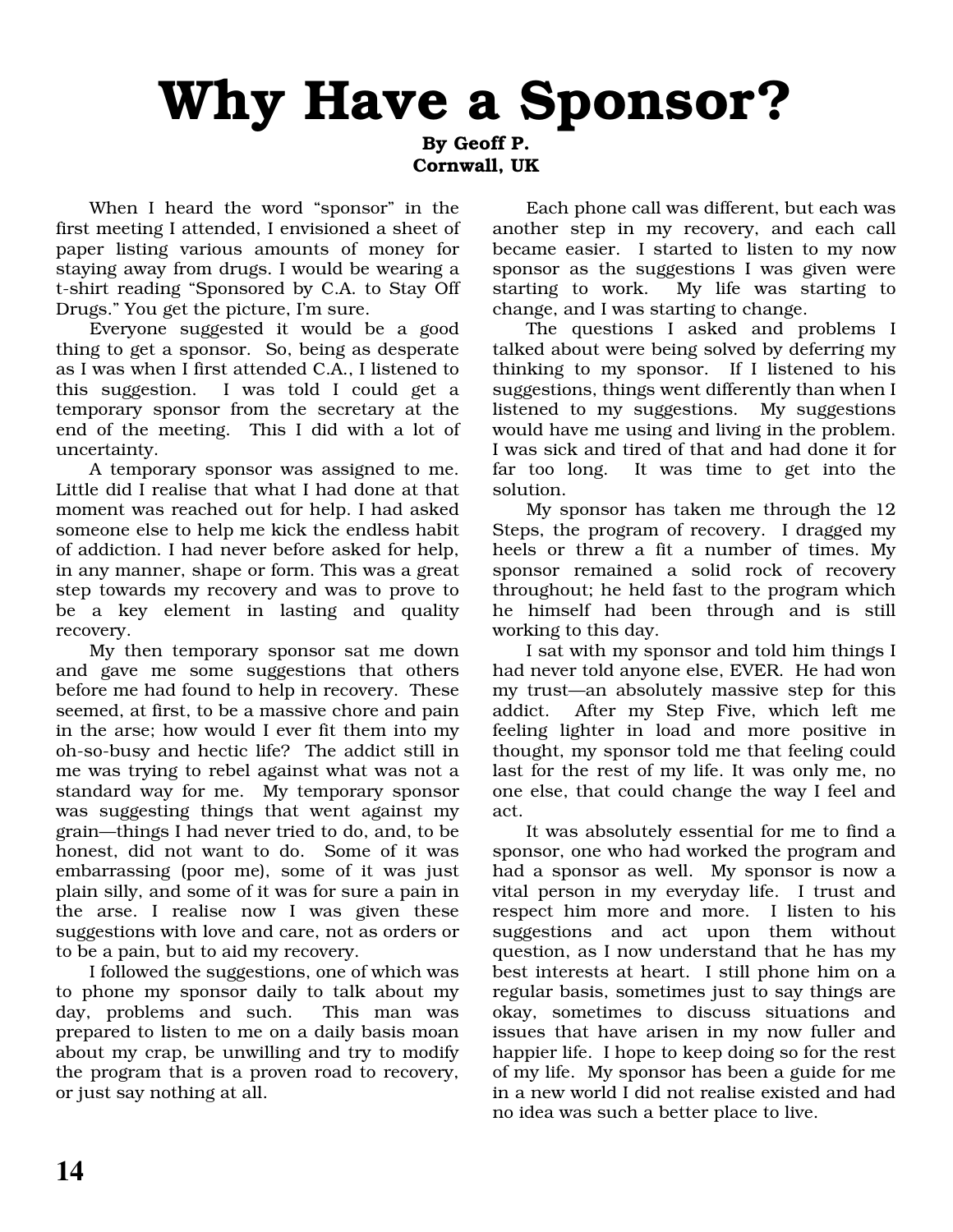# Why Have a Sponsor?

By Geoff P. Cornwall, UK

When I heard the word "sponsor" in the first meeting I attended, I envisioned a sheet of paper listing various amounts of money for staying away from drugs. I would be wearing a t-shirt reading "Sponsored by C.A. to Stay Off Drugs." You get the picture, I'm sure.

Everyone suggested it would be a good thing to get a sponsor. So, being as desperate as I was when I first attended C.A., I listened to this suggestion. I was told I could get a temporary sponsor from the secretary at the end of the meeting. This I did with a lot of uncertainty.

A temporary sponsor was assigned to me. Little did I realise that what I had done at that moment was reached out for help. I had asked someone else to help me kick the endless habit of addiction. I had never before asked for help, in any manner, shape or form. This was a great step towards my recovery and was to prove to be a key element in lasting and quality recovery.

My then temporary sponsor sat me down and gave me some suggestions that others before me had found to help in recovery. These seemed, at first, to be a massive chore and pain in the arse; how would I ever fit them into my oh-so-busy and hectic life? The addict still in me was trying to rebel against what was not a standard way for me. My temporary sponsor was suggesting things that went against my grain—things I had never tried to do, and, to be honest, did not want to do. Some of it was embarrassing (poor me), some of it was just plain silly, and some of it was for sure a pain in the arse. I realise now I was given these suggestions with love and care, not as orders or to be a pain, but to aid my recovery.

I followed the suggestions, one of which was to phone my sponsor daily to talk about my day, problems and such. This man was prepared to listen to me on a daily basis moan about my crap, be unwilling and try to modify the program that is a proven road to recovery, or just say nothing at all.

Each phone call was different, but each was another step in my recovery, and each call became easier. I started to listen to my now sponsor as the suggestions I was given were starting to work. My life was starting to change, and I was starting to change.

The questions I asked and problems I talked about were being solved by deferring my thinking to my sponsor. If I listened to his suggestions, things went differently than when I listened to my suggestions. My suggestions would have me using and living in the problem. I was sick and tired of that and had done it for far too long. It was time to get into the solution.

My sponsor has taken me through the 12 Steps, the program of recovery. I dragged my heels or threw a fit a number of times. My sponsor remained a solid rock of recovery throughout; he held fast to the program which he himself had been through and is still working to this day.

I sat with my sponsor and told him things I had never told anyone else, EVER. He had won my trust—an absolutely massive step for this addict. After my Step Five, which left me feeling lighter in load and more positive in thought, my sponsor told me that feeling could last for the rest of my life. It was only me, no one else, that could change the way I feel and act.

It was absolutely essential for me to find a sponsor, one who had worked the program and had a sponsor as well. My sponsor is now a vital person in my everyday life. I trust and respect him more and more. I listen to his suggestions and act upon them without question, as I now understand that he has my best interests at heart. I still phone him on a regular basis, sometimes just to say things are okay, sometimes to discuss situations and issues that have arisen in my now fuller and happier life. I hope to keep doing so for the rest of my life. My sponsor has been a guide for me in a new world I did not realise existed and had no idea was such a better place to live.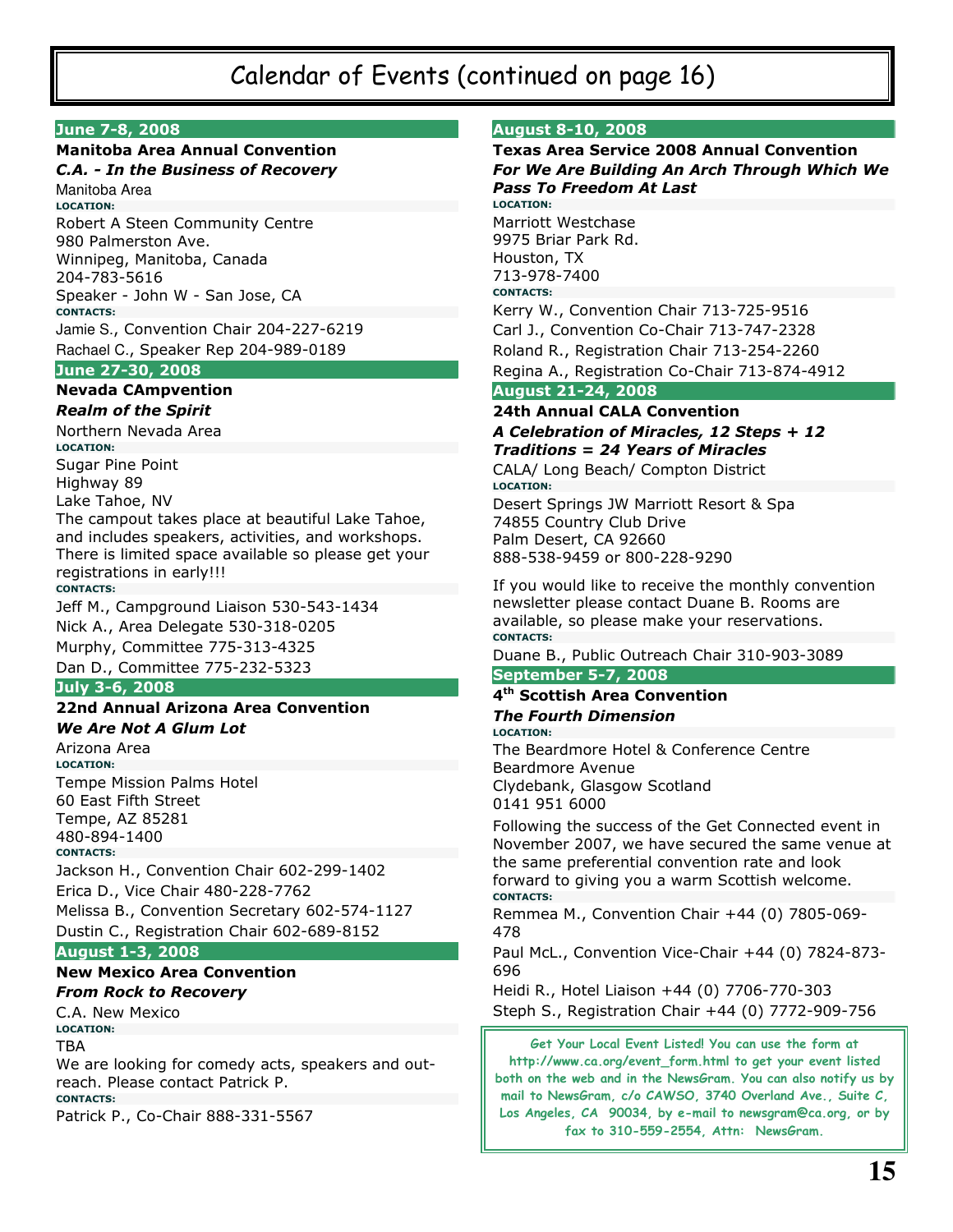# Calendar of Events (continued on page 16)

### June 7-8, 2008

# **Manitoba Area Annual Convention**

**C.A. - In the Business of Recovery** Manitoba Area **LOCATION:** Robert A Steen Community Centre 980 Palmerston Ave. Winnipeg, Manitoba, Canada 204-783-5616 Speaker - John W - San Jose, CA **CONTACTS:** Jamie S., Convention Chair 204-227-6219 Rachael C., Speaker Rep 204-989-0189

### June 27-30, 2008

#### **Nevada CAmpvention Realm of the Spirit**

Northern Nevada Area **LOCATION: Sugar Pine Point** Highway 89 Lake Tahoe, NV The campout takes place at beautiful Lake Tahoe, and includes speakers, activities, and workshops. There is limited space available so please get your registrations in early!!!

**CONTACTS:** Jeff M., Campground Liaison 530-543-1434 Nick A., Area Delegate 530-318-0205 Murphy, Committee 775-313-4325

Dan D., Committee 775-232-5323

### July 3-6, 2008

#### 22nd Annual Arizona Area Convention **We Are Not A Glum Lot**

Arizona Area **LOCATION:** Tempe Mission Palms Hotel 60 East Fifth Street Tempe, AZ 85281 480-894-1400 **CONTACTS:** Jackson H., Convention Chair 602-299-1402 Erica D., Vice Chair 480-228-7762 Melissa B., Convention Secretary 602-574-1127 Dustin C., Registration Chair 602-689-8152 **August 1-3, 2008** 

# **New Mexico Area Convention From Rock to Recovery**

C.A. New Mexico **LOCATION:** TBA We are looking for comedy acts, speakers and outreach. Please contact Patrick P. **CONTACTS:** Patrick P., Co-Chair 888-331-5567

#### **August 8-10, 2008**

## **Texas Area Service 2008 Annual Convention** For We Are Building An Arch Through Which We **Pass To Freedom At Last LOCATION:** Marriott Westchase 9975 Briar Park Rd. Houston, TX 713-978-7400 **CONTACTS:** Kerry W., Convention Chair 713-725-9516 Carl J., Convention Co-Chair 713-747-2328 Roland R., Registration Chair 713-254-2260 Regina A., Registration Co-Chair 713-874-4912 **August 21-24, 2008 24th Annual CALA Convention** A Celebration of Miracles, 12 Steps + 12 **Traditions = 24 Years of Miracles** CALA/ Long Beach/ Compton District **LOCATION:** Desert Springs JW Marriott Resort & Spa

74855 Country Club Drive Palm Desert, CA 92660 888-538-9459 or 800-228-9290

If you would like to receive the monthly convention newsletter please contact Duane B. Rooms are available, so please make your reservations. **CONTACTS:** 

Duane B., Public Outreach Chair 310-903-3089

### **September 5-7, 2008**

#### 4<sup>th</sup> Scottish Area Convention **The Fourth Dimension LOCATION:**

The Beardmore Hotel & Conference Centre Beardmore Avenue Clydebank, Glasgow Scotland 0141 951 6000

Following the success of the Get Connected event in November 2007, we have secured the same venue at the same preferential convention rate and look forward to giving you a warm Scottish welcome. **CONTACTS:** 

Remmea M., Convention Chair +44 (0) 7805-069-478

Paul McL., Convention Vice-Chair +44 (0) 7824-873-696

Heidi R., Hotel Liaison +44 (0) 7706-770-303 Steph S., Registration Chair +44 (0) 7772-909-756

Get Your Local Event Listed! You can use the form at http://www.ca.org/event\_form.html to get your event listed both on the web and in the NewsGram. You can also notify us by mail to NewsGram, c/o CAWSO, 3740 Overland Ave., Suite C, Los Angeles, CA 90034, by e-mail to newsgram@ca.org, or by fax to 310-559-2554, Attn: NewsGram.